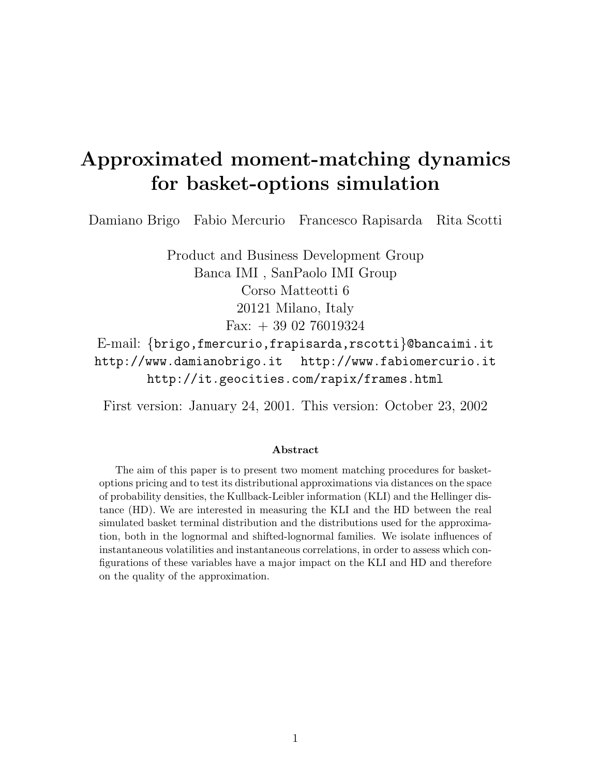# Approximated moment-matching dynamics for basket-options simulation

Damiano Brigo Fabio Mercurio Francesco Rapisarda Rita Scotti

Product and Business Development Group Banca IMI , SanPaolo IMI Group Corso Matteotti 6 20121 Milano, Italy Fax: + 39 02 76019324 E-mail: {brigo,fmercurio,frapisarda,rscotti}@bancaimi.it http://www.damianobrigo.it http://www.fabiomercurio.it http://it.geocities.com/rapix/frames.html

First version: January 24, 2001. This version: October 23, 2002

#### Abstract

The aim of this paper is to present two moment matching procedures for basketoptions pricing and to test its distributional approximations via distances on the space of probability densities, the Kullback-Leibler information (KLI) and the Hellinger distance (HD). We are interested in measuring the KLI and the HD between the real simulated basket terminal distribution and the distributions used for the approximation, both in the lognormal and shifted-lognormal families. We isolate influences of instantaneous volatilities and instantaneous correlations, in order to assess which configurations of these variables have a major impact on the KLI and HD and therefore on the quality of the approximation.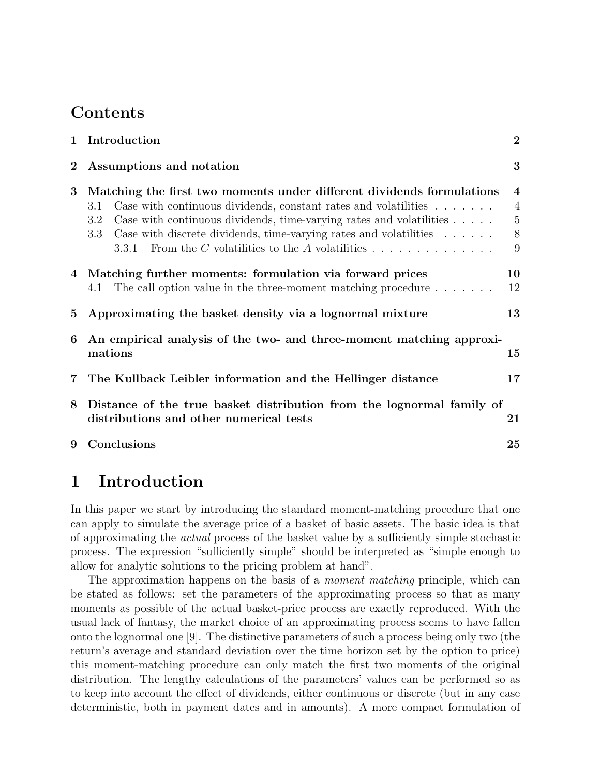## Contents

| 1                                    | Introduction                                                                                                                                                                                                                                                                                                                                                                                    | $\overline{2}$                                                        |  |  |  |  |  |  |  |
|--------------------------------------|-------------------------------------------------------------------------------------------------------------------------------------------------------------------------------------------------------------------------------------------------------------------------------------------------------------------------------------------------------------------------------------------------|-----------------------------------------------------------------------|--|--|--|--|--|--|--|
| Assumptions and notation<br>$\bf{2}$ |                                                                                                                                                                                                                                                                                                                                                                                                 |                                                                       |  |  |  |  |  |  |  |
| $\overline{3}$                       | Matching the first two moments under different dividends formulations<br>Case with continuous dividends, constant rates and volatilities<br>3.1<br>Case with continuous dividends, time-varying rates and volatilities $\dots$ .<br>3.2<br>Case with discrete dividends, time-varying rates and volatilities $\dots \dots$<br>3.3<br>From the $C$ volatilities to the $A$ volatilities<br>3.3.1 | $\overline{\mathbf{4}}$<br>$\overline{4}$<br>$\overline{5}$<br>8<br>9 |  |  |  |  |  |  |  |
| 4                                    | Matching further moments: formulation via forward prices                                                                                                                                                                                                                                                                                                                                        | 10                                                                    |  |  |  |  |  |  |  |
|                                      | 4.1 The call option value in the three-moment matching procedure                                                                                                                                                                                                                                                                                                                                | 12                                                                    |  |  |  |  |  |  |  |
| 5                                    | Approximating the basket density via a lognormal mixture                                                                                                                                                                                                                                                                                                                                        | 13                                                                    |  |  |  |  |  |  |  |
| 6                                    | An empirical analysis of the two- and three-moment matching approxi-<br>mations                                                                                                                                                                                                                                                                                                                 | 15                                                                    |  |  |  |  |  |  |  |
| $\overline{7}$                       | The Kullback Leibler information and the Hellinger distance                                                                                                                                                                                                                                                                                                                                     | 17                                                                    |  |  |  |  |  |  |  |
| 8                                    | Distance of the true basket distribution from the lognormal family of<br>distributions and other numerical tests                                                                                                                                                                                                                                                                                | 21                                                                    |  |  |  |  |  |  |  |
| 9                                    | Conclusions                                                                                                                                                                                                                                                                                                                                                                                     | 25                                                                    |  |  |  |  |  |  |  |
|                                      |                                                                                                                                                                                                                                                                                                                                                                                                 |                                                                       |  |  |  |  |  |  |  |

## 1 Introduction

In this paper we start by introducing the standard moment-matching procedure that one can apply to simulate the average price of a basket of basic assets. The basic idea is that of approximating the actual process of the basket value by a sufficiently simple stochastic process. The expression "sufficiently simple" should be interpreted as "simple enough to allow for analytic solutions to the pricing problem at hand".

The approximation happens on the basis of a *moment matching* principle, which can be stated as follows: set the parameters of the approximating process so that as many moments as possible of the actual basket-price process are exactly reproduced. With the usual lack of fantasy, the market choice of an approximating process seems to have fallen onto the lognormal one [9]. The distinctive parameters of such a process being only two (the return's average and standard deviation over the time horizon set by the option to price) this moment-matching procedure can only match the first two moments of the original distribution. The lengthy calculations of the parameters' values can be performed so as to keep into account the effect of dividends, either continuous or discrete (but in any case deterministic, both in payment dates and in amounts). A more compact formulation of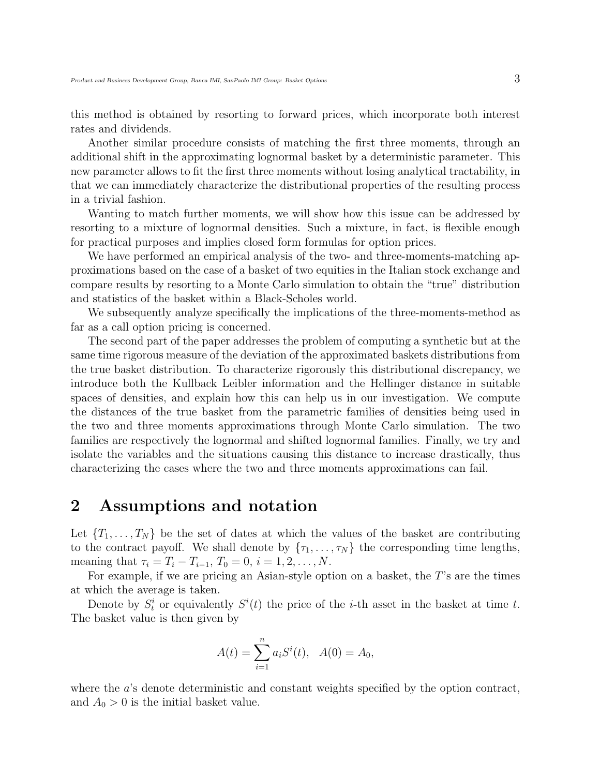this method is obtained by resorting to forward prices, which incorporate both interest rates and dividends.

Another similar procedure consists of matching the first three moments, through an additional shift in the approximating lognormal basket by a deterministic parameter. This new parameter allows to fit the first three moments without losing analytical tractability, in that we can immediately characterize the distributional properties of the resulting process in a trivial fashion.

Wanting to match further moments, we will show how this issue can be addressed by resorting to a mixture of lognormal densities. Such a mixture, in fact, is flexible enough for practical purposes and implies closed form formulas for option prices.

We have performed an empirical analysis of the two- and three-moments-matching approximations based on the case of a basket of two equities in the Italian stock exchange and compare results by resorting to a Monte Carlo simulation to obtain the "true" distribution and statistics of the basket within a Black-Scholes world.

We subsequently analyze specifically the implications of the three-moments-method as far as a call option pricing is concerned.

The second part of the paper addresses the problem of computing a synthetic but at the same time rigorous measure of the deviation of the approximated baskets distributions from the true basket distribution. To characterize rigorously this distributional discrepancy, we introduce both the Kullback Leibler information and the Hellinger distance in suitable spaces of densities, and explain how this can help us in our investigation. We compute the distances of the true basket from the parametric families of densities being used in the two and three moments approximations through Monte Carlo simulation. The two families are respectively the lognormal and shifted lognormal families. Finally, we try and isolate the variables and the situations causing this distance to increase drastically, thus characterizing the cases where the two and three moments approximations can fail.

### 2 Assumptions and notation

Let  $\{T_1, \ldots, T_N\}$  be the set of dates at which the values of the basket are contributing to the contract payoff. We shall denote by  $\{\tau_1, \ldots, \tau_N\}$  the corresponding time lengths, meaning that  $\tau_i = T_i - T_{i-1}, T_0 = 0, i = 1, 2, ..., N$ .

For example, if we are pricing an Asian-style option on a basket, the T's are the times at which the average is taken.

Denote by  $S_t^i$  or equivalently  $S^i(t)$  the price of the *i*-th asset in the basket at time *t*. The basket value is then given by

$$
A(t) = \sum_{i=1}^{n} a_i S^i(t), \quad A(0) = A_0,
$$

where the a's denote deterministic and constant weights specified by the option contract, and  $A_0 > 0$  is the initial basket value.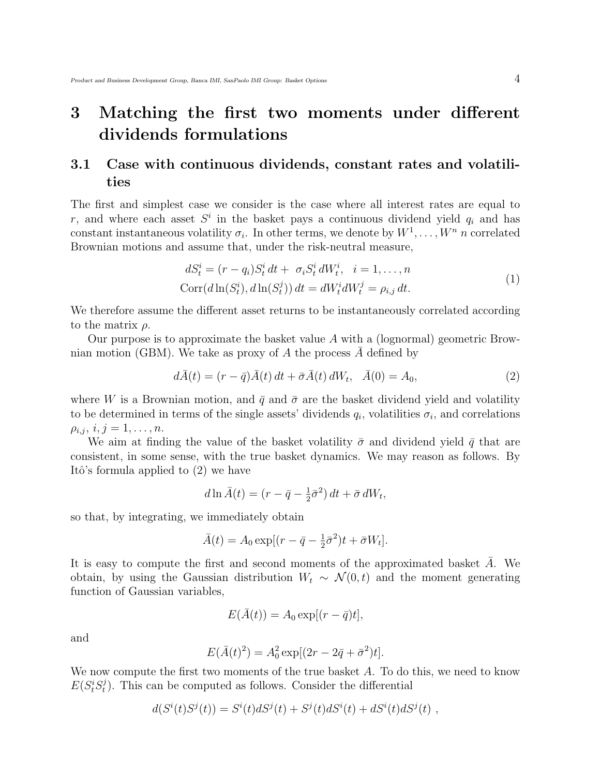## 3 Matching the first two moments under different dividends formulations

### 3.1 Case with continuous dividends, constant rates and volatilities

The first and simplest case we consider is the case where all interest rates are equal to r, and where each asset  $S^i$  in the basket pays a continuous dividend yield  $q_i$  and has constant instantaneous volatility  $\sigma_i$ . In other terms, we denote by  $W^1, \ldots, W^n$  n correlated Brownian motions and assume that, under the risk-neutral measure,

$$
dS_t^i = (r - q_i)S_t^i dt + \sigma_i S_t^i dW_t^i, \quad i = 1, \dots, n
$$
  

$$
Corr(d\ln(S_t^i), d\ln(S_t^j)) dt = dW_t^i dW_t^j = \rho_{i,j} dt.
$$
 (1)

We therefore assume the different asset returns to be instantaneously correlated according to the matrix  $\rho$ .

Our purpose is to approximate the basket value A with a (lognormal) geometric Brownian motion (GBM). We take as proxy of  $A$  the process  $A$  defined by

$$
d\bar{A}(t) = (r - \bar{q})\bar{A}(t) dt + \bar{\sigma}\bar{A}(t) dW_t, \quad \bar{A}(0) = A_0,
$$
\n(2)

where W is a Brownian motion, and  $\bar{q}$  and  $\bar{\sigma}$  are the basket dividend yield and volatility to be determined in terms of the single assets' dividends  $q_i$ , volatilities  $\sigma_i$ , and correlations  $\rho_{i,j}, i, j = 1, \ldots, n.$ 

We aim at finding the value of the basket volatility  $\bar{\sigma}$  and dividend yield  $\bar{q}$  that are consistent, in some sense, with the true basket dynamics. We may reason as follows. By Itô's formula applied to  $(2)$  we have

$$
d\ln\bar{A}(t) = (r - \bar{q} - \frac{1}{2}\bar{\sigma}^2) dt + \bar{\sigma} dW_t,
$$

so that, by integrating, we immediately obtain

$$
\bar{A}(t) = A_0 \exp[(r - \bar{q} - \frac{1}{2}\bar{\sigma}^2)t + \bar{\sigma}W_t].
$$

It is easy to compute the first and second moments of the approximated basket  $A$ . We obtain, by using the Gaussian distribution  $W_t \sim \mathcal{N}(0,t)$  and the moment generating function of Gaussian variables,

$$
E(\bar{A}(t)) = A_0 \exp[(r - \bar{q})t],
$$

and

$$
E(\bar{A}(t)^{2}) = A_{0}^{2} \exp[(2r - 2\bar{q} + \bar{\sigma}^{2})t].
$$

We now compute the first two moments of the true basket A. To do this, we need to know  $E(S_t^i S_t^j)$  $t<sub>t</sub>$ ). This can be computed as follows. Consider the differential

$$
d(Si(t)Sj(t)) = Si(t)dSj(t) + Sj(t)dSi(t) + dSi(t)dSj(t) ,
$$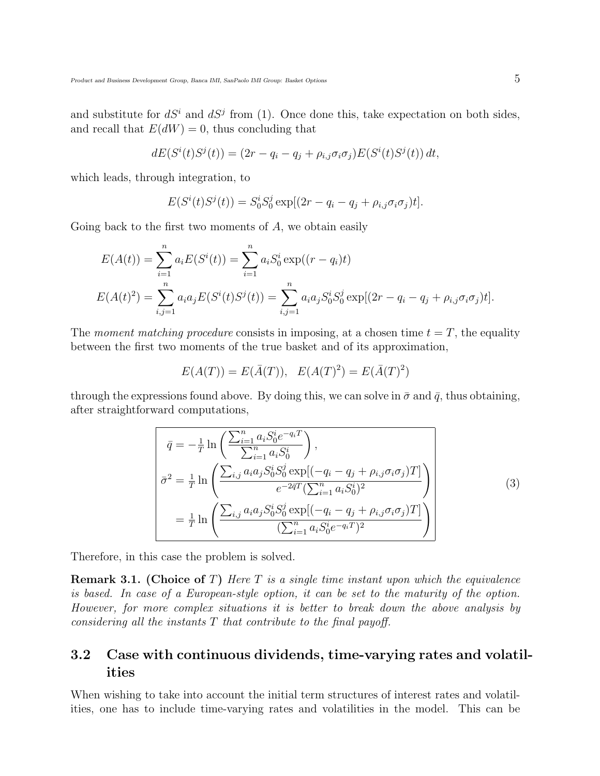and substitute for  $dS^i$  and  $dS^j$  from (1). Once done this, take expectation on both sides, and recall that  $E(dW) = 0$ , thus concluding that

$$
dE(Si(t)Sj(t)) = (2r - qi - qj + \rhoi,j\sigmai\sigmaj)E(Si(t)Sj(t)) dt,
$$

which leads, through integration, to

$$
E(S^{i}(t)S^{j}(t)) = S_{0}^{i}S_{0}^{j} \exp[(2r - q_{i} - q_{j} + \rho_{i,j}\sigma_{i}\sigma_{j})t].
$$

Going back to the first two moments of  $A$ , we obtain easily

$$
E(A(t)) = \sum_{i=1}^{n} a_i E(S^i(t)) = \sum_{i=1}^{n} a_i S_0^i \exp((r - q_i)t)
$$
  

$$
E(A(t)^2) = \sum_{i,j=1}^{n} a_i a_j E(S^i(t)S^j(t)) = \sum_{i,j=1}^{n} a_i a_j S_0^i S_0^j \exp[(2r - q_i - q_j + \rho_{i,j} \sigma_i \sigma_j)t].
$$

The moment matching procedure consists in imposing, at a chosen time  $t = T$ , the equality between the first two moments of the true basket and of its approximation,

$$
E(A(T)) = E(\bar{A}(T)), E(A(T)^{2}) = E(\bar{A}(T)^{2})
$$

through the expressions found above. By doing this, we can solve in  $\bar{\sigma}$  and  $\bar{q}$ , thus obtaining, after straightforward computations,

$$
\bar{q} = -\frac{1}{T} \ln \left( \frac{\sum_{i=1}^{n} a_{i} S_{0}^{i} e^{-q_{i} T}}{\sum_{i=1}^{n} a_{i} S_{0}^{i}} \right),
$$
\n
$$
\bar{\sigma}^{2} = \frac{1}{T} \ln \left( \frac{\sum_{i,j} a_{i} a_{j} S_{0}^{i} S_{0}^{j} \exp[(-q_{i} - q_{j} + \rho_{i,j} \sigma_{i} \sigma_{j}) T]}{e^{-2\bar{q}T} (\sum_{i=1}^{n} a_{i} S_{0}^{i})^{2}} \right)
$$
\n
$$
= \frac{1}{T} \ln \left( \frac{\sum_{i,j} a_{i} a_{j} S_{0}^{i} S_{0}^{j} \exp[(-q_{i} - q_{j} + \rho_{i,j} \sigma_{i} \sigma_{j}) T]}{(\sum_{i=1}^{n} a_{i} S_{0}^{i} e^{-q_{i} T})^{2}} \right)
$$
\n(3)

Therefore, in this case the problem is solved.

**Remark 3.1.** (Choice of T) Here T is a single time instant upon which the equivalence is based. In case of a European-style option, it can be set to the maturity of the option. However, for more complex situations it is better to break down the above analysis by considering all the instants  $T$  that contribute to the final payoff.

### 3.2 Case with continuous dividends, time-varying rates and volatilities

When wishing to take into account the initial term structures of interest rates and volatilities, one has to include time-varying rates and volatilities in the model. This can be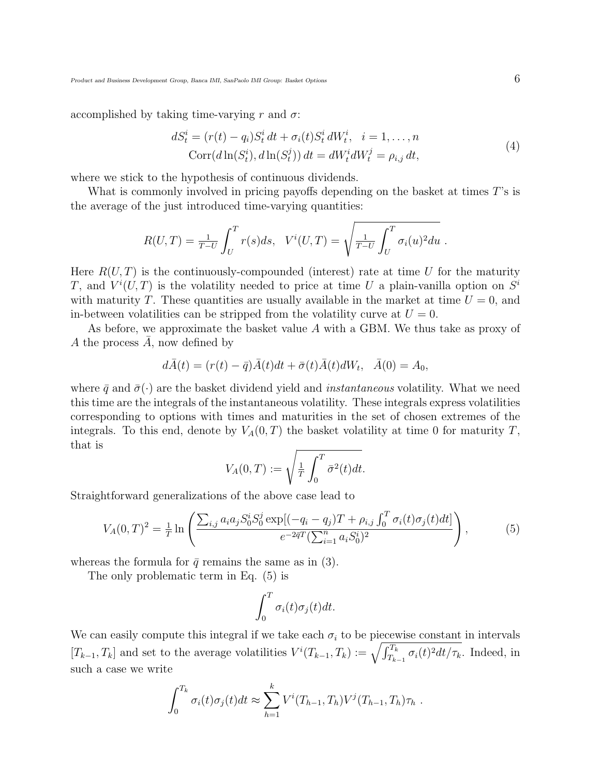accomplished by taking time-varying r and  $\sigma$ :

$$
dS_t^i = (r(t) - q_i)S_t^i dt + \sigma_i(t)S_t^i dW_t^i, \quad i = 1, ..., n
$$
  
\n
$$
Corr(d\ln(S_t^i), d\ln(S_t^j)) dt = dW_t^i dW_t^j = \rho_{i,j} dt,
$$
\n(4)

where we stick to the hypothesis of continuous dividends.

What is commonly involved in pricing payoffs depending on the basket at times T's is the average of the just introduced time-varying quantities:

$$
R(U,T) = \frac{1}{T-U} \int_U^T r(s)ds, \quad V^i(U,T) = \sqrt{\frac{1}{T-U} \int_U^T \sigma_i(u)^2 du}.
$$

Here  $R(U, T)$  is the continuously-compounded (interest) rate at time U for the maturity T, and  $V^i(U,T)$  is the volatility needed to price at time U a plain-vanilla option on  $S^i$ with maturity T. These quantities are usually available in the market at time  $U = 0$ , and in-between volatilities can be stripped from the volatility curve at  $U = 0$ .

As before, we approximate the basket value A with a GBM. We thus take as proxy of A the process  $A$ , now defined by

$$
d\bar{A}(t) = (r(t) - \bar{q})\bar{A}(t)dt + \bar{\sigma}(t)\bar{A}(t)dW_t, \quad \bar{A}(0) = A_0,
$$

where  $\bar{q}$  and  $\bar{\sigma}(\cdot)$  are the basket dividend yield and *instantaneous* volatility. What we need this time are the integrals of the instantaneous volatility. These integrals express volatilities corresponding to options with times and maturities in the set of chosen extremes of the integrals. To this end, denote by  $V_A(0,T)$  the basket volatility at time 0 for maturity T, that is

$$
V_A(0,T) := \sqrt{\frac{1}{T} \int_0^T \bar{\sigma}^2(t) dt}.
$$

Straightforward generalizations of the above case lead to

$$
V_A(0,T)^2 = \frac{1}{T} \ln \left( \frac{\sum_{i,j} a_i a_j S_0^i S_0^j \exp[(-q_i - q_j)T + \rho_{i,j} \int_0^T \sigma_i(t) \sigma_j(t) dt]}{e^{-2\bar{q}T} (\sum_{i=1}^n a_i S_0^i)^2} \right),
$$
(5)

whereas the formula for  $\bar{q}$  remains the same as in (3).

The only problematic term in Eq. (5) is

$$
\int_0^T \sigma_i(t)\sigma_j(t)dt.
$$

We can easily compute this integral if we take each  $\sigma_i$  to be piecewise constant in intervals We can easily compute this integral if we take each  $\sigma_i$  to be piecewise constant in intervals  $[T_{k-1}, T_k]$  and set to the average volatilities  $V^i(T_{k-1}, T_k) := \sqrt{\int_{T_{k-1}}^{T_k} \sigma_i(t)^2 dt / \tau_k}$ . Indeed, in such a case we write

$$
\int_0^{T_k} \sigma_i(t)\sigma_j(t)dt \approx \sum_{h=1}^k V^i(T_{h-1}, T_h)V^j(T_{h-1}, T_h)\tau_h.
$$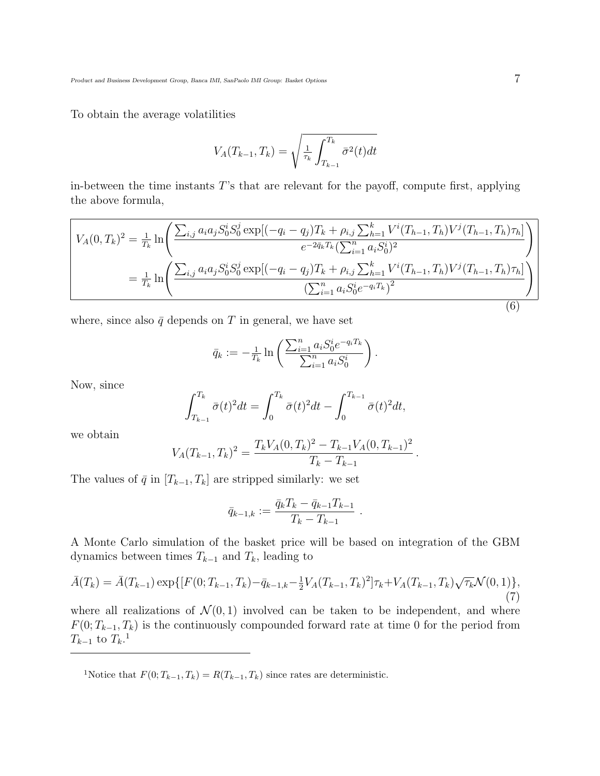To obtain the average volatilities

$$
V_A(T_{k-1}, T_k) = \sqrt{\frac{1}{\tau_k} \int_{T_{k-1}}^{T_k} \bar{\sigma}^2(t) dt}
$$

in-between the time instants T's that are relevant for the payoff, compute first, applying the above formula,

$$
V_A(0,T_k)^2 = \frac{1}{T_k} \ln \left( \frac{\sum_{i,j} a_i a_j S_0^i S_0^j \exp[(-q_i - q_j) T_k + \rho_{i,j} \sum_{h=1}^k V^i (T_{h-1}, T_h) V^j (T_{h-1}, T_h) \tau_h]}{e^{-2\bar{q}_k T_k} (\sum_{i=1}^n a_i S_0^i)^2} \right)
$$
  
= 
$$
\frac{1}{T_k} \ln \left( \frac{\sum_{i,j} a_i a_j S_0^i S_0^j \exp[(-q_i - q_j) T_k + \rho_{i,j} \sum_{h=1}^k V^i (T_{h-1}, T_h) V^j (T_{h-1}, T_h) \tau_h]}{(\sum_{i=1}^n a_i S_0^i e^{-q_i T_k})^2} \right)
$$
(6)

where, since also  $\bar{q}$  depends on T in general, we have set

$$
\bar{q}_k := -\frac{1}{T_k} \ln \left( \frac{\sum_{i=1}^n a_i S_0^i e^{-q_i T_k}}{\sum_{i=1}^n a_i S_0^i} \right).
$$

Now, since

$$
\int_{T_{k-1}}^{T_k} \bar{\sigma}(t)^2 dt = \int_0^{T_k} \bar{\sigma}(t)^2 dt - \int_0^{T_{k-1}} \bar{\sigma}(t)^2 dt,
$$

we obtain

$$
V_A(T_{k-1},T_k)^2 = \frac{T_k V_A(0,T_k)^2 - T_{k-1} V_A(0,T_{k-1})^2}{T_k - T_{k-1}}.
$$

The values of  $\bar{q}$  in  $[T_{k-1}, T_k]$  are stripped similarly: we set

$$
\bar{q}_{k-1,k} := \frac{\bar{q}_k T_k - \bar{q}_{k-1} T_{k-1}}{T_k - T_{k-1}}
$$

.

A Monte Carlo simulation of the basket price will be based on integration of the GBM dynamics between times  $T_{k-1}$  and  $T_k$ , leading to

$$
\bar{A}(T_k) = \bar{A}(T_{k-1}) \exp\{[F(0; T_{k-1}, T_k) - \bar{q}_{k-1,k} - \frac{1}{2}V_A(T_{k-1}, T_k)^2] \tau_k + V_A(T_{k-1}, T_k) \sqrt{\tau_k} \mathcal{N}(0, 1)\},\tag{7}
$$

where all realizations of  $\mathcal{N}(0,1)$  involved can be taken to be independent, and where  $F(0; T_{k-1}, T_k)$  is the continuously compounded forward rate at time 0 for the period from  $T_{k-1}$  to  $T_k$ .<sup>1</sup>

<sup>1</sup>Notice that  $F(0; T_{k-1}, T_k) = R(T_{k-1}, T_k)$  since rates are deterministic.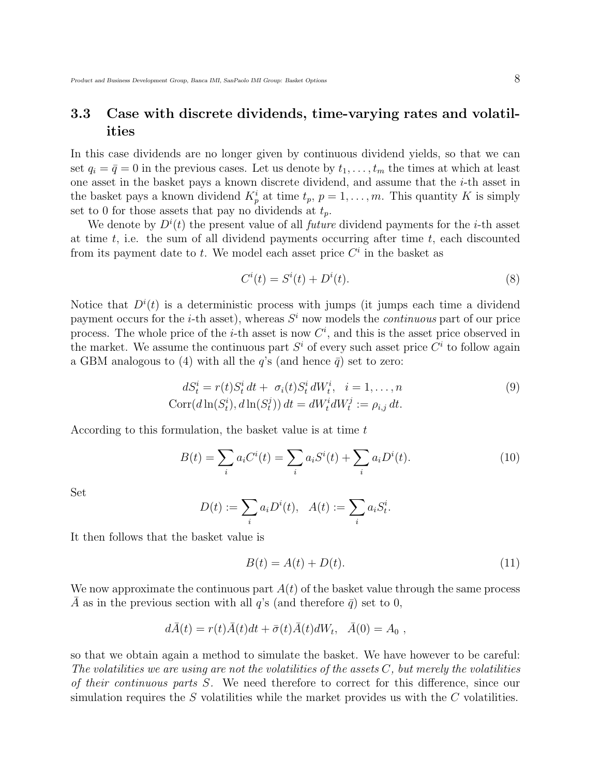### 3.3 Case with discrete dividends, time-varying rates and volatilities

In this case dividends are no longer given by continuous dividend yields, so that we can set  $q_i = \bar{q} = 0$  in the previous cases. Let us denote by  $t_1, \ldots, t_m$  the times at which at least one asset in the basket pays a known discrete dividend, and assume that the i-th asset in the basket pays a known dividend  $K_p^i$  at time  $t_p$ ,  $p = 1, \ldots, m$ . This quantity K is simply set to 0 for those assets that pay no dividends at  $t_p$ .

We denote by  $D^{i}(t)$  the present value of all *future* dividend payments for the *i*-th asset at time  $t$ , i.e. the sum of all dividend payments occurring after time  $t$ , each discounted from its payment date to t. We model each asset price  $C<sup>i</sup>$  in the basket as

$$
Ci(t) = Si(t) + Di(t).
$$
\n(8)

Notice that  $D^{i}(t)$  is a deterministic process with jumps (it jumps each time a dividend payment occurs for the *i*-th asset), whereas  $S<sup>i</sup>$  now models the *continuous* part of our price process. The whole price of the *i*-th asset is now  $C<sup>i</sup>$ , and this is the asset price observed in the market. We assume the continuous part  $S^i$  of every such asset price  $C^i$  to follow again a GBM analogous to (4) with all the  $q$ 's (and hence  $\bar{q}$ ) set to zero:

$$
dS_t^i = r(t)S_t^i dt + \sigma_i(t)S_t^i dW_t^i, \quad i = 1, \dots, n
$$
  

$$
Corr(d\ln(S_t^i), d\ln(S_t^j)) dt = dW_t^i dW_t^j := \rho_{i,j} dt.
$$
 (9)

According to this formulation, the basket value is at time t

$$
B(t) = \sum_{i} a_i C^i(t) = \sum_{i} a_i S^i(t) + \sum_{i} a_i D^i(t).
$$
 (10)

Set

$$
D(t) := \sum_{i} a_i D^{i}(t), \ \ A(t) := \sum_{i} a_i S^{i}_{t}.
$$

It then follows that the basket value is

$$
B(t) = A(t) + D(t). \tag{11}
$$

We now approximate the continuous part  $A(t)$  of the basket value through the same process  $\overline{A}$  as in the previous section with all q's (and therefore  $\overline{q}$ ) set to 0,

$$
d\bar{A}(t) = r(t)\bar{A}(t)dt + \bar{\sigma}(t)\bar{A}(t)dW_t, \quad \bar{A}(0) = A_0,
$$

so that we obtain again a method to simulate the basket. We have however to be careful: The volatilities we are using are not the volatilities of the assets  $C$ , but merely the volatilities of their continuous parts S. We need therefore to correct for this difference, since our simulation requires the  $S$  volatilities while the market provides us with the  $C$  volatilities.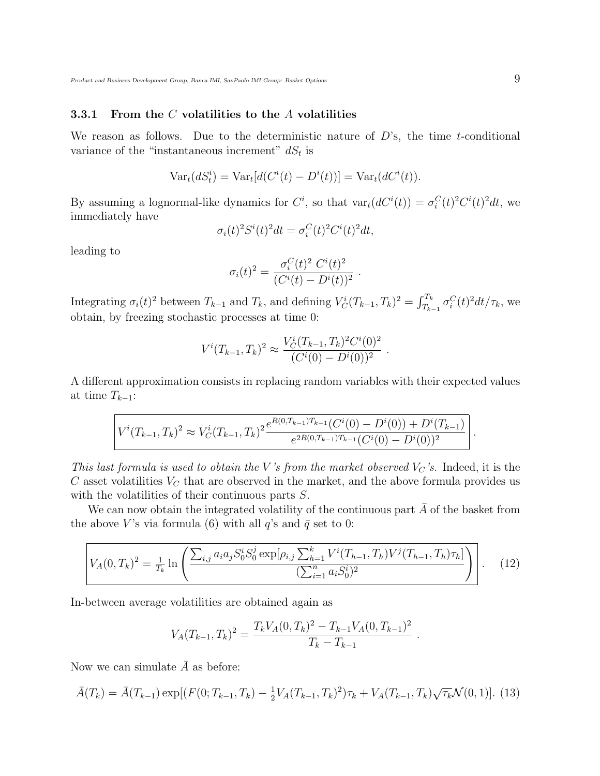#### 3.3.1 From the  $C$  volatilities to the  $A$  volatilities

We reason as follows. Due to the deterministic nature of  $D$ 's, the time t-conditional variance of the "instantaneous increment"  $dS_t$  is

$$
Vart(dSit) = Vart[d(Ci(t) - Di(t))] = Vart(dCi(t)).
$$

By assuming a lognormal-like dynamics for  $C^i$ , so that  $var_d(C^i(t)) = \sigma_i^C(t)^2 C^i(t)^2 dt$ , we immediately have

$$
\sigma_i(t)^2 S^i(t)^2 dt = \sigma_i^C(t)^2 C^i(t)^2 dt,
$$

leading to

$$
\sigma_i(t)^2 = \frac{\sigma_i^C(t)^2 C^i(t)^2}{(C^i(t) - D^i(t))^2}.
$$

Integrating  $\sigma_i(t)^2$  between  $T_{k-1}$  and  $T_k$ , and defining  $V_C^i(T_{k-1}, T_k)^2 = \int_{T_k}^{T_k}$  $T_{k-1}^L \sigma_i^C(t)^2 dt/\tau_k$ , we obtain, by freezing stochastic processes at time 0:

$$
V^{i}(T_{k-1}, T_k)^2 \approx \frac{V_C^{i}(T_{k-1}, T_k)^2 C^{i}(0)^2}{(C^{i}(0) - D^{i}(0))^2}
$$

.

.

A different approximation consists in replacing random variables with their expected values at time  $T_{k-1}$ :

$$
V^{i}(T_{k-1},T_k)^2 \approx V_C^{i}(T_{k-1},T_k)^2 \frac{e^{R(0,T_{k-1})T_{k-1}}(C^{i}(0) - D^{i}(0)) + D^{i}(T_{k-1})}{e^{2R(0,T_{k-1})T_{k-1}}(C^{i}(0) - D^{i}(0))^2}
$$

This last formula is used to obtain the V's from the market observed  $V_C$ 's. Indeed, it is the  $C$  asset volatilities  $V_C$  that are observed in the market, and the above formula provides us with the volatilities of their continuous parts S.

We can now obtain the integrated volatility of the continuous part  $A$  of the basket from the above V's via formula (6) with all q's and  $\bar{q}$  set to 0:

$$
V_A(0,T_k)^2 = \frac{1}{T_k} \ln \left( \frac{\sum_{i,j} a_i a_j S_0^i S_0^j \exp[\rho_{i,j} \sum_{h=1}^k V^i(T_{h-1}, T_h) V^j(T_{h-1}, T_h) \tau_h]}{(\sum_{i=1}^n a_i S_0^i)^2} \right).
$$
 (12)

In-between average volatilities are obtained again as

$$
V_A(T_{k-1},T_k)^2 = \frac{T_k V_A(0,T_k)^2 - T_{k-1} V_A(0,T_{k-1})^2}{T_k - T_{k-1}}.
$$

Now we can simulate  $\overline{A}$  as before:

$$
\bar{A}(T_k) = \bar{A}(T_{k-1}) \exp[(F(0; T_{k-1}, T_k) - \frac{1}{2}V_A(T_{k-1}, T_k)^2)\tau_k + V_A(T_{k-1}, T_k)\sqrt{\tau_k} \mathcal{N}(0, 1)].
$$
 (13)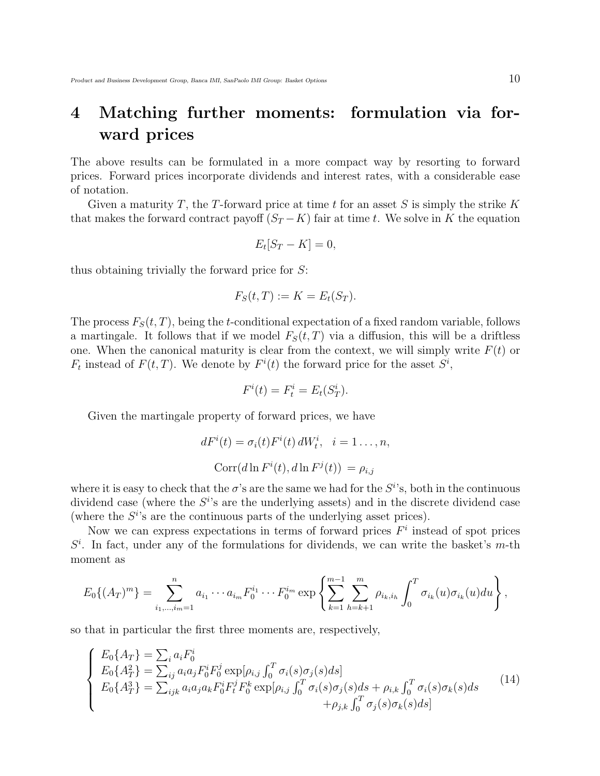## 4 Matching further moments: formulation via forward prices

The above results can be formulated in a more compact way by resorting to forward prices. Forward prices incorporate dividends and interest rates, with a considerable ease of notation.

Given a maturity T, the T-forward price at time t for an asset S is simply the strike K that makes the forward contract payoff  $(S_T - K)$  fair at time t. We solve in K the equation

$$
E_t[S_T - K] = 0,
$$

thus obtaining trivially the forward price for S:

$$
F_S(t, T) := K = E_t(S_T).
$$

The process  $F_S(t,T)$ , being the t-conditional expectation of a fixed random variable, follows a martingale. It follows that if we model  $F_S(t,T)$  via a diffusion, this will be a driftless one. When the canonical maturity is clear from the context, we will simply write  $F(t)$  or  $F_t$  instead of  $F(t,T)$ . We denote by  $F^{i}(t)$  the forward price for the asset  $S^i$ ,

$$
F^i(t) = F^i_t = E_t(S^i_T).
$$

Given the martingale property of forward prices, we have

$$
dF^{i}(t) = \sigma_{i}(t)F^{i}(t) dW_{t}^{i}, \quad i = 1...,n,
$$
  

$$
Corr(d \ln F^{i}(t), d \ln F^{j}(t)) = \rho_{i,j}
$$

where it is easy to check that the  $\sigma$ 's are the same we had for the  $S^{i}$ 's, both in the continuous dividend case (where the  $S^{i}$ 's are the underlying assets) and in the discrete dividend case (where the  $S^{i}$ 's are the continuous parts of the underlying asset prices).

Now we can express expectations in terms of forward prices  $F<sup>i</sup>$  instead of spot prices  $S<sup>i</sup>$ . In fact, under any of the formulations for dividends, we can write the basket's m-th moment as

$$
E_0\{(A_T)^m\} = \sum_{i_1,\dots,i_m=1}^n a_{i_1}\cdots a_{i_m} F_0^{i_1} \cdots F_0^{i_m} \exp\left\{\sum_{k=1}^{m-1} \sum_{h=k+1}^m \rho_{i_k,i_h} \int_0^T \sigma_{i_k}(u) \sigma_{i_k}(u) du\right\},\,
$$

so that in particular the first three moments are, respectively,

$$
\begin{cases}\nE_0\{A_T\} = \sum_i a_i F_0^i \\
E_0\{A_T^2\} = \sum_{ij} a_i a_j F_0^i F_0^j \exp[\rho_{i,j} \int_0^T \sigma_i(s) \sigma_j(s) ds] \\
E_0\{A_T^3\} = \sum_{ijk} a_i a_j a_k F_0^i F_t^j F_0^k \exp[\rho_{i,j} \int_0^T \sigma_i(s) \sigma_j(s) ds + \rho_{i,k} \int_0^T \sigma_i(s) \sigma_k(s) ds \\
+ \rho_{j,k} \int_0^T \sigma_j(s) \sigma_k(s) ds]\n\end{cases} (14)
$$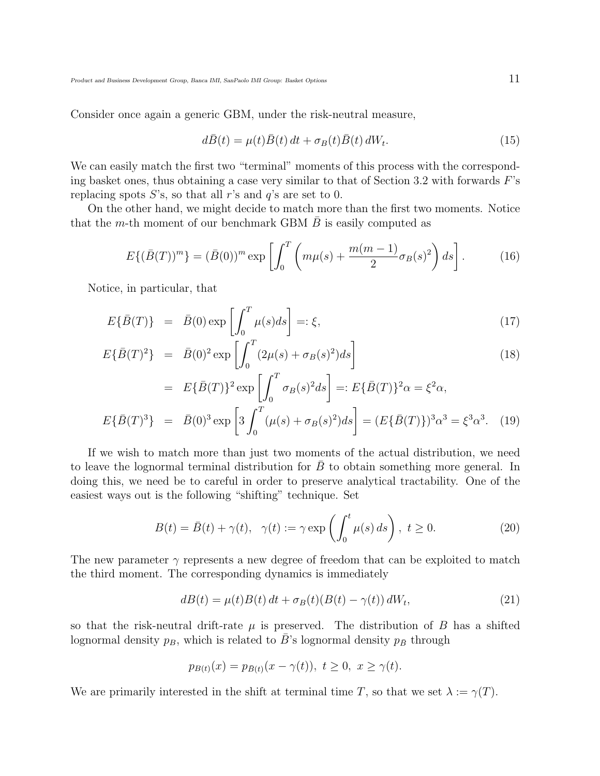Consider once again a generic GBM, under the risk-neutral measure,

$$
d\bar{B}(t) = \mu(t)\bar{B}(t) dt + \sigma_B(t)\bar{B}(t) dW_t.
$$
\n(15)

We can easily match the first two "terminal" moments of this process with the corresponding basket ones, thus obtaining a case very similar to that of Section 3.2 with forwards  $F$ 's replacing spots  $S$ 's, so that all r's and q's are set to 0.

On the other hand, we might decide to match more than the first two moments. Notice that the m-th moment of our benchmark GBM  $B$  is easily computed as

$$
E\{(\bar{B}(T))^m\} = (\bar{B}(0))^m \exp\left[\int_0^T \left(m\mu(s) + \frac{m(m-1)}{2}\sigma_B(s)^2\right)ds\right].
$$
 (16)

Notice, in particular, that

$$
E\{\bar{B}(T)\} = \bar{B}(0) \exp\left[\int_0^T \mu(s)ds\right] = \xi,\tag{17}
$$

$$
E\{\bar{B}(T)^{2}\} = \bar{B}(0)^{2} \exp\left[\int_{0}^{T} (2\mu(s) + \sigma_{B}(s)^{2})ds\right]
$$
\n(18)

$$
= E{\bar{B}(T)}^2 \exp\left[\int_0^T \sigma_B(s)^2 ds\right] =: E{\bar{B}(T)}^2 \alpha = \xi^2 \alpha,
$$
  

$$
E{\bar{B}(T)}^3 = \bar{B}(0)^3 \exp\left[3 \int_0^T (\mu(s) + \sigma_B(s)^2) ds\right] = (E{\bar{B}(T)})^3 \alpha^3 = \xi^3 \alpha^3. \quad (19)
$$

If we wish to match more than just two moments of the actual distribution, we need to leave the lognormal terminal distribution for  $B$  to obtain something more general. In doing this, we need be to careful in order to preserve analytical tractability. One of the easiest ways out is the following "shifting" technique. Set

$$
B(t) = \bar{B}(t) + \gamma(t), \quad \gamma(t) := \gamma \exp\left(\int_0^t \mu(s) \, ds\right), \ t \ge 0. \tag{20}
$$

The new parameter  $\gamma$  represents a new degree of freedom that can be exploited to match the third moment. The corresponding dynamics is immediately

$$
dB(t) = \mu(t)B(t) dt + \sigma_B(t)(B(t) - \gamma(t)) dW_t,
$$
\n(21)

so that the risk-neutral drift-rate  $\mu$  is preserved. The distribution of B has a shifted lognormal density  $p_B$ , which is related to B's lognormal density  $p_{\bar{B}}$  through

$$
p_{B(t)}(x) = p_{\bar{B}(t)}(x - \gamma(t)), \ t \ge 0, \ x \ge \gamma(t).
$$

We are primarily interested in the shift at terminal time T, so that we set  $\lambda := \gamma(T)$ .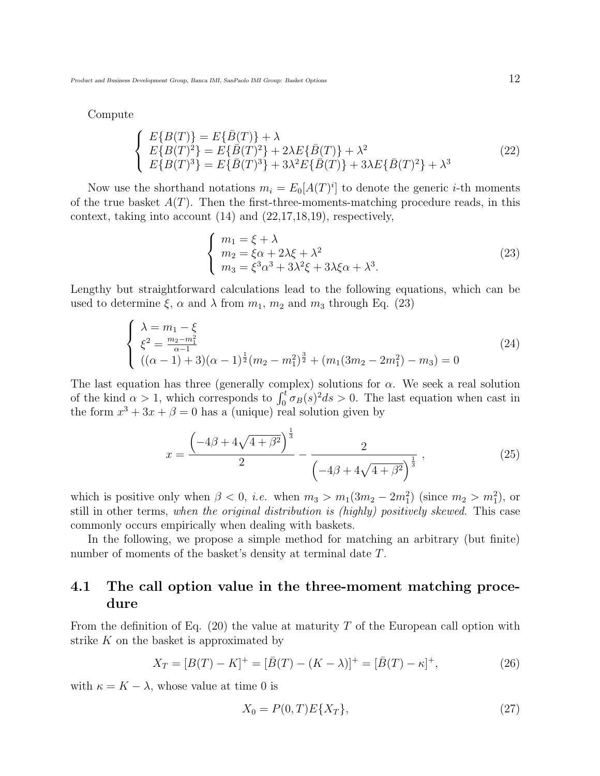Compute

$$
\begin{cases}\nE\{B(T)\} = E\{\bar{B}(T)\} + \lambda \\
E\{B(T)^2\} = E\{\bar{B}(T)^2\} + 2\lambda E\{\bar{B}(T)\} + \lambda^2 \\
E\{B(T)^3\} = E\{\bar{B}(T)^3\} + 3\lambda^2 E\{\bar{B}(T)\} + 3\lambda E\{\bar{B}(T)^2\} + \lambda^3\n\end{cases}
$$
\n(22)

Now use the shorthand notations  $m_i = E_0[A(T)^i]$  to denote the generic *i*-th moments of the true basket  $A(T)$ . Then the first-three-moments-matching procedure reads, in this context, taking into account (14) and (22,17,18,19), respectively,

$$
\begin{cases}\nm_1 = \xi + \lambda \\
m_2 = \xi \alpha + 2\lambda \xi + \lambda^2 \\
m_3 = \xi^3 \alpha^3 + 3\lambda^2 \xi + 3\lambda \xi \alpha + \lambda^3.\n\end{cases} (23)
$$

Lengthy but straightforward calculations lead to the following equations, which can be used to determine  $\xi$ ,  $\alpha$  and  $\lambda$  from  $m_1$ ,  $m_2$  and  $m_3$  through Eq. (23)

$$
\begin{cases}\n\lambda = m_1 - \xi \\
\xi^2 = \frac{m_2 - m_1^2}{\alpha - 1} \\
((\alpha - 1) + 3)(\alpha - 1)^{\frac{1}{2}}(m_2 - m_1^2)^{\frac{3}{2}} + (m_1(3m_2 - 2m_1^2) - m_3) = 0\n\end{cases}
$$
\n(24)

The last equation has three (generally complex) solutions for  $\alpha$ . We seek a real solution The last equation has three (generally complex) solutions for  $\alpha$ . We seek a real solution<br>of the kind  $\alpha > 1$ , which corresponds to  $\int_0^t \sigma_B(s)^2 ds > 0$ . The last equation when cast in the form  $x^3 + 3x + \beta = 0$  has a (unique) real solution given by

$$
x = \frac{\left(-4\beta + 4\sqrt{4 + \beta^2}\right)^{\frac{1}{3}}}{2} - \frac{2}{\left(-4\beta + 4\sqrt{4 + \beta^2}\right)^{\frac{1}{3}}},\tag{25}
$$

which is positive only when  $\beta < 0$ , *i.e.* when  $m_3 > m_1(3m_2 - 2m_1^2)$  (since  $m_2 > m_1^2$ ), or still in other terms, when the original distribution is (highly) positively skewed. This case commonly occurs empirically when dealing with baskets.

In the following, we propose a simple method for matching an arbitrary (but finite) number of moments of the basket's density at terminal date T.

### 4.1 The call option value in the three-moment matching procedure

From the definition of Eq. (20) the value at maturity T of the European call option with strike  $K$  on the basket is approximated by

$$
X_T = [B(T) - K]^+ = [\bar{B}(T) - (K - \lambda)]^+ = [\bar{B}(T) - \kappa]^+, \tag{26}
$$

with  $\kappa = K - \lambda$ , whose value at time 0 is

$$
X_0 = P(0, T)E\{X_T\},\tag{27}
$$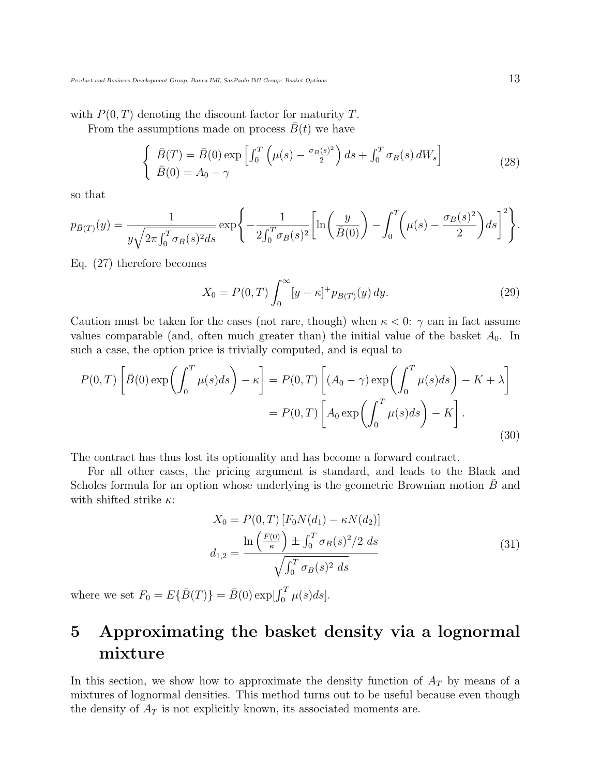with  $P(0,T)$  denoting the discount factor for maturity T.

From the assumptions made on process  $\bar{B}(t)$  we have

$$
\begin{cases}\n\bar{B}(T) = \bar{B}(0) \exp\left[\int_0^T \left(\mu(s) - \frac{\sigma_B(s)^2}{2}\right) ds + \int_0^T \sigma_B(s) dW_s\right] \\
\bar{B}(0) = A_0 - \gamma\n\end{cases}
$$
\n(28)

so that

$$
p_{\bar{B}(T)}(y) = \frac{1}{y\sqrt{2\pi\int_0^T \sigma_B(s)^2 ds}} \exp\left\{-\frac{1}{2\int_0^T \sigma_B(s)^2} \left[\ln\left(\frac{y}{\bar{B}(0)}\right) - \int_0^T \left(\mu(s) - \frac{\sigma_B(s)^2}{2}\right) ds\right]^2\right\}.
$$

Eq. (27) therefore becomes

$$
X_0 = P(0,T) \int_0^\infty [y - \kappa]^+ p_{\bar{B}(T)}(y) \, dy. \tag{29}
$$

Caution must be taken for the cases (not rare, though) when  $\kappa < 0$ :  $\gamma$  can in fact assume values comparable (and, often much greater than) the initial value of the basket  $A_0$ . In such a case, the option price is trivially computed, and is equal to

$$
P(0,T) \left[ \bar{B}(0) \exp\left(\int_0^T \mu(s)ds\right) - \kappa \right] = P(0,T) \left[ (A_0 - \gamma) \exp\left(\int_0^T \mu(s)ds\right) - K + \lambda \right]
$$

$$
= P(0,T) \left[ A_0 \exp\left(\int_0^T \mu(s)ds\right) - K \right].
$$
(30)

The contract has thus lost its optionality and has become a forward contract.

For all other cases, the pricing argument is standard, and leads to the Black and Scholes formula for an option whose underlying is the geometric Brownian motion  $B$  and with shifted strike  $\kappa$ :

$$
X_0 = P(0, T) [F_0 N(d_1) - \kappa N(d_2)]
$$
  

$$
d_{1,2} = \frac{\ln\left(\frac{F(0)}{\kappa}\right) \pm \int_0^T \sigma_B(s)^2 / 2 \ ds}{\sqrt{\int_0^T \sigma_B(s)^2 \ ds}}
$$
(31)

where we set  $F_0 = E\{\bar{B}(T)\} = \bar{B}(0) \exp[\int_0^T \mu(s)ds]$ .

## 5 Approximating the basket density via a lognormal mixture

In this section, we show how to approximate the density function of  $A_T$  by means of a mixtures of lognormal densities. This method turns out to be useful because even though the density of  $A_T$  is not explicitly known, its associated moments are.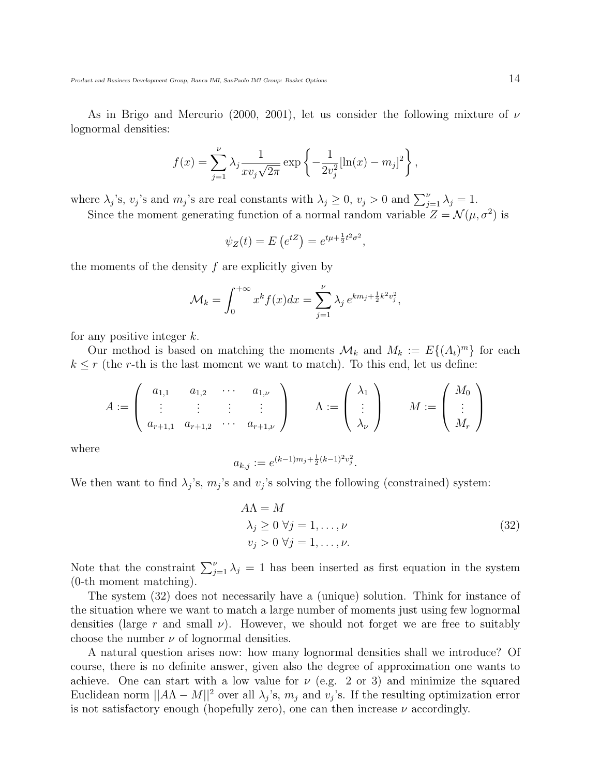As in Brigo and Mercurio (2000, 2001), let us consider the following mixture of  $\nu$ lognormal densities:

$$
f(x) = \sum_{j=1}^{\nu} \lambda_j \frac{1}{x v_j \sqrt{2\pi}} \exp \left\{-\frac{1}{2v_j^2} [\ln(x) - m_j]^2\right\},\,
$$

where  $\lambda_j$ 's,  $v_j$ 's and  $m_j$ 's are real constants with  $\lambda_j \geq 0$ ,  $v_j > 0$  and  $\sum_{j=1}^{\nu} \lambda_j = 1$ .

Since the moment generating function of a normal random variable  $Z = \mathcal{N}(\mu, \sigma^2)$  is

$$
\psi_Z(t) = E\left(e^{tZ}\right) = e^{t\mu + \frac{1}{2}t^2\sigma^2},
$$

the moments of the density  $f$  are explicitly given by

$$
\mathcal{M}_k = \int_0^{+\infty} x^k f(x) dx = \sum_{j=1}^{\nu} \lambda_j e^{km_j + \frac{1}{2}k^2 v_j^2},
$$

for any positive integer  $k$ .

Our method is based on matching the moments  $\mathcal{M}_k$  and  $M_k := E\{(A_t)^m\}$  for each  $k \leq r$  (the r-th is the last moment we want to match). To this end, let us define:

$$
A := \left(\begin{array}{cccc} a_{1,1} & a_{1,2} & \cdots & a_{1,\nu} \\ \vdots & \vdots & \vdots & \vdots \\ a_{r+1,1} & a_{r+1,2} & \cdots & a_{r+1,\nu} \end{array}\right) \qquad \Lambda := \left(\begin{array}{c} \lambda_1 \\ \vdots \\ \lambda_\nu \end{array}\right) \qquad M := \left(\begin{array}{c} M_0 \\ \vdots \\ M_r \end{array}\right)
$$

where

$$
a_{k,j} := e^{(k-1)m_j + \frac{1}{2}(k-1)^2 v_j^2}.
$$

We then want to find  $\lambda_j$ 's,  $m_j$ 's and  $v_j$ 's solving the following (constrained) system:

$$
A\Lambda = M
$$
  
\n
$$
\lambda_j \ge 0 \ \forall j = 1, ..., \nu
$$
  
\n
$$
v_j > 0 \ \forall j = 1, ..., \nu.
$$
 (32)

Note that the constraint  $\sum_{j=1}^{\nu} \lambda_j = 1$  has been inserted as first equation in the system (0-th moment matching).

The system (32) does not necessarily have a (unique) solution. Think for instance of the situation where we want to match a large number of moments just using few lognormal densities (large r and small  $\nu$ ). However, we should not forget we are free to suitably choose the number  $\nu$  of lognormal densities.

A natural question arises now: how many lognormal densities shall we introduce? Of course, there is no definite answer, given also the degree of approximation one wants to achieve. One can start with a low value for  $\nu$  (e.g. 2 or 3) and minimize the squared Euclidean norm  $||A\Lambda - M||^2$  over all  $\lambda_j$ 's,  $m_j$  and  $v_j$ 's. If the resulting optimization error is not satisfactory enough (hopefully zero), one can then increase  $\nu$  accordingly.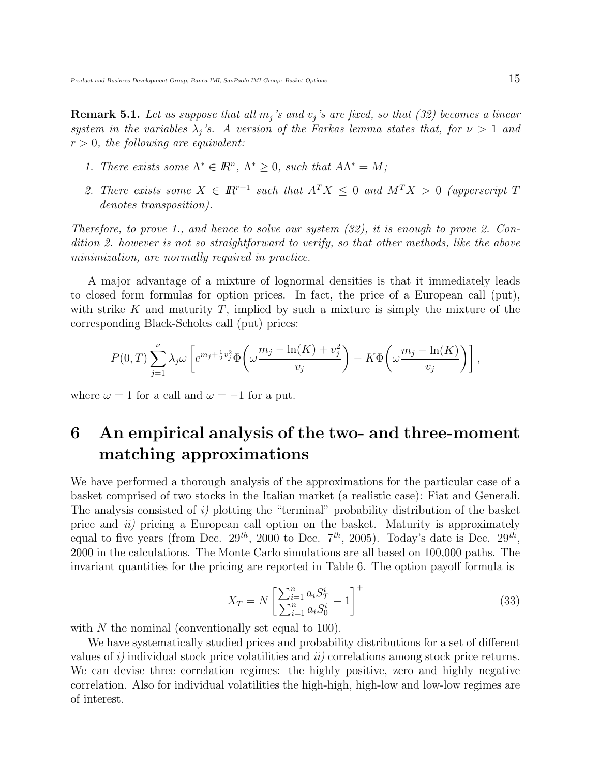**Remark 5.1.** Let us suppose that all  $m_j$ 's and  $v_j$ 's are fixed, so that (32) becomes a linear system in the variables  $\lambda_j$ 's. A version of the Farkas lemma states that, for  $\nu > 1$  and  $r > 0$ , the following are equivalent:

- 1. There exists some  $\Lambda^* \in \mathbb{R}^n$ ,  $\Lambda^* \geq 0$ , such that  $A\Lambda^* = M$ ;
- 2. There exists some  $X \in \mathbb{R}^{r+1}$  such that  $A^T X \leq 0$  and  $M^T X > 0$  (upperscript T denotes transposition).

Therefore, to prove 1., and hence to solve our system (32), it is enough to prove 2. Condition 2. however is not so straightforward to verify, so that other methods, like the above minimization, are normally required in practice.

A major advantage of a mixture of lognormal densities is that it immediately leads to closed form formulas for option prices. In fact, the price of a European call (put), with strike K and maturity T, implied by such a mixture is simply the mixture of the corresponding Black-Scholes call (put) prices:

$$
P(0,T)\sum_{j=1}^{\nu}\lambda_j\omega\left[e^{m_j+\frac{1}{2}v_j^2}\Phi\left(\omega\frac{m_j-\ln(K)+v_j^2}{v_j}\right)-K\Phi\left(\omega\frac{m_j-\ln(K)}{v_j}\right)\right],
$$

where  $\omega = 1$  for a call and  $\omega = -1$  for a put.

## 6 An empirical analysis of the two- and three-moment matching approximations

We have performed a thorough analysis of the approximations for the particular case of a basket comprised of two stocks in the Italian market (a realistic case): Fiat and Generali. The analysis consisted of i) plotting the "terminal" probability distribution of the basket price and ii) pricing a European call option on the basket. Maturity is approximately equal to five years (from Dec.  $29^{th}$ , 2000 to Dec.  $7^{th}$ , 2005). Today's date is Dec.  $29^{th}$ , 2000 in the calculations. The Monte Carlo simulations are all based on 100,000 paths. The invariant quantities for the pricing are reported in Table 6. The option payoff formula is

$$
X_T = N \left[ \frac{\sum_{i=1}^n a_i S_T^i}{\sum_{i=1}^n a_i S_0^i} - 1 \right]^+ \tag{33}
$$

with  $N$  the nominal (conventionally set equal to 100).

We have systematically studied prices and probability distributions for a set of different values of  $i$ ) individual stock price volatilities and  $ii$ ) correlations among stock price returns. We can devise three correlation regimes: the highly positive, zero and highly negative correlation. Also for individual volatilities the high-high, high-low and low-low regimes are of interest.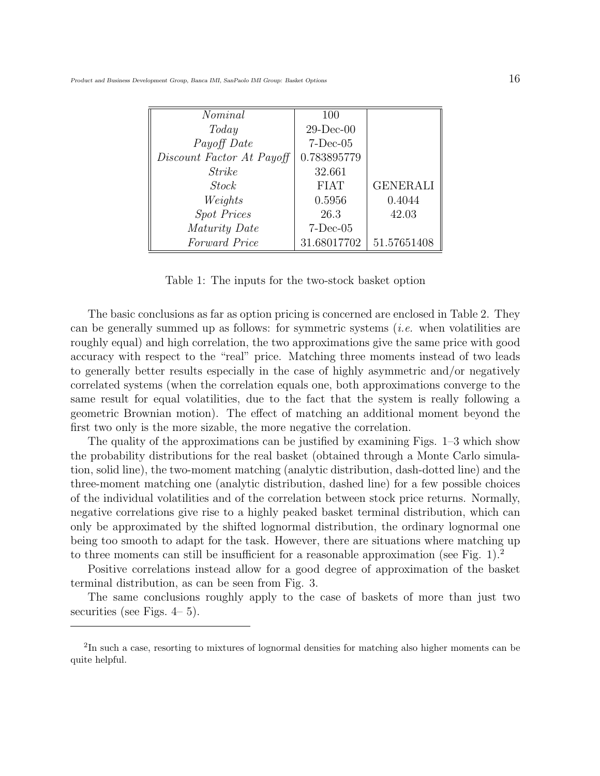| Nominal                   | 100          |                 |
|---------------------------|--------------|-----------------|
| Today                     | $29$ -Dec-00 |                 |
| Payoff Date               | $7-Dec-05$   |                 |
| Discount Factor At Payoff | 0.783895779  |                 |
| <i>Strike</i>             | 32.661       |                 |
| <b>Stock</b>              | <b>FIAT</b>  | <b>GENERALI</b> |
| Weights                   | 0.5956       | 0.4044          |
| <b>Spot Prices</b>        | 26.3         | 42.03           |
| Maturity Date             | $7-Dec-05$   |                 |
| Forward Price             | 31.68017702  | 51.57651408     |

Table 1: The inputs for the two-stock basket option

The basic conclusions as far as option pricing is concerned are enclosed in Table 2. They can be generally summed up as follows: for symmetric systems  $(i.e.$  when volatilities are roughly equal) and high correlation, the two approximations give the same price with good accuracy with respect to the "real" price. Matching three moments instead of two leads to generally better results especially in the case of highly asymmetric and/or negatively correlated systems (when the correlation equals one, both approximations converge to the same result for equal volatilities, due to the fact that the system is really following a geometric Brownian motion). The effect of matching an additional moment beyond the first two only is the more sizable, the more negative the correlation.

The quality of the approximations can be justified by examining Figs. 1–3 which show the probability distributions for the real basket (obtained through a Monte Carlo simulation, solid line), the two-moment matching (analytic distribution, dash-dotted line) and the three-moment matching one (analytic distribution, dashed line) for a few possible choices of the individual volatilities and of the correlation between stock price returns. Normally, negative correlations give rise to a highly peaked basket terminal distribution, which can only be approximated by the shifted lognormal distribution, the ordinary lognormal one being too smooth to adapt for the task. However, there are situations where matching up to three moments can still be insufficient for a reasonable approximation (see Fig. 1).<sup>2</sup>

Positive correlations instead allow for a good degree of approximation of the basket terminal distribution, as can be seen from Fig. 3.

The same conclusions roughly apply to the case of baskets of more than just two securities (see Figs. 4– 5).

<sup>&</sup>lt;sup>2</sup>In such a case, resorting to mixtures of lognormal densities for matching also higher moments can be quite helpful.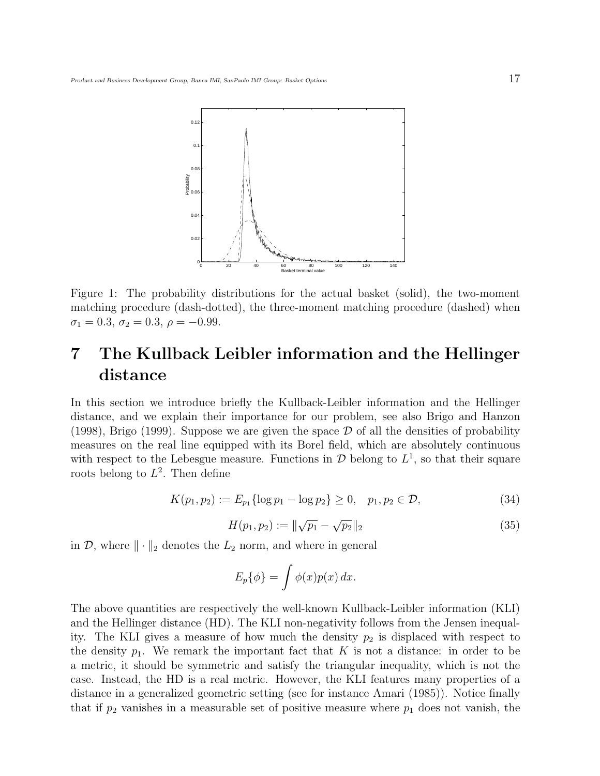

Figure 1: The probability distributions for the actual basket (solid), the two-moment matching procedure (dash-dotted), the three-moment matching procedure (dashed) when  $\sigma_1 = 0.3, \sigma_2 = 0.3, \rho = -0.99.$ 

## 7 The Kullback Leibler information and the Hellinger distance

In this section we introduce briefly the Kullback-Leibler information and the Hellinger distance, and we explain their importance for our problem, see also Brigo and Hanzon (1998), Brigo (1999). Suppose we are given the space  $\mathcal D$  of all the densities of probability measures on the real line equipped with its Borel field, which are absolutely continuous with respect to the Lebesgue measure. Functions in  $\mathcal{D}$  belong to  $L^1$ , so that their square roots belong to  $L^2$ . Then define

$$
K(p_1, p_2) := E_{p_1} \{ \log p_1 - \log p_2 \} \ge 0, \quad p_1, p_2 \in \mathcal{D}, \tag{34}
$$

$$
H(p_1, p_2) := \|\sqrt{p_1} - \sqrt{p_2}\|_2
$$
\n(35)

in  $\mathcal{D}$ , where  $\|\cdot\|_2$  denotes the  $L_2$  norm, and where in general

$$
E_p\{\phi\} = \int \phi(x)p(x) \, dx.
$$

The above quantities are respectively the well-known Kullback-Leibler information (KLI) and the Hellinger distance (HD). The KLI non-negativity follows from the Jensen inequality. The KLI gives a measure of how much the density  $p_2$  is displaced with respect to the density  $p_1$ . We remark the important fact that K is not a distance: in order to be a metric, it should be symmetric and satisfy the triangular inequality, which is not the case. Instead, the HD is a real metric. However, the KLI features many properties of a distance in a generalized geometric setting (see for instance Amari (1985)). Notice finally that if  $p_2$  vanishes in a measurable set of positive measure where  $p_1$  does not vanish, the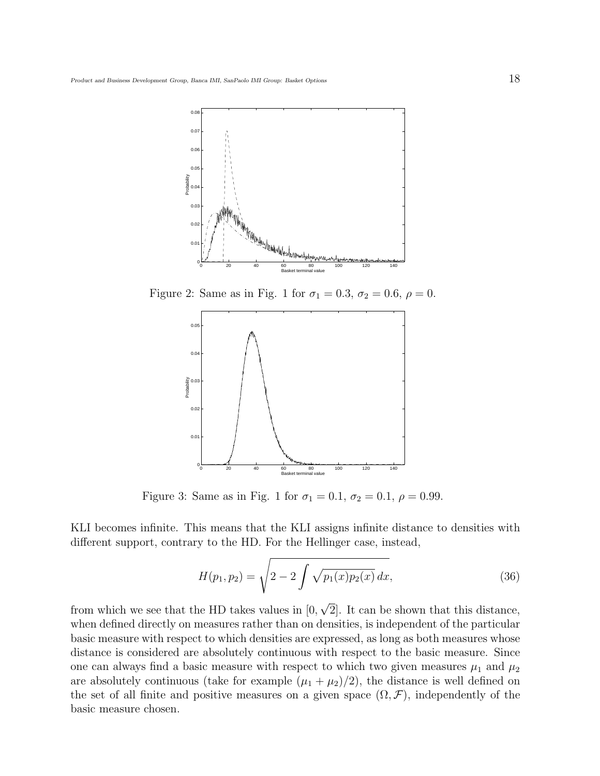

Figure 2: Same as in Fig. 1 for  $\sigma_1 = 0.3$ ,  $\sigma_2 = 0.6$ ,  $\rho = 0$ .



Figure 3: Same as in Fig. 1 for  $\sigma_1 = 0.1$ ,  $\sigma_2 = 0.1$ ,  $\rho = 0.99$ .

KLI becomes infinite. This means that the KLI assigns infinite distance to densities with different support, contrary to the HD. For the Hellinger case, instead,

$$
H(p_1, p_2) = \sqrt{2 - 2 \int \sqrt{p_1(x) p_2(x)} dx},
$$
\n(36)

from which we see that the HD takes values in [0, 2]. It can be shown that this distance, when defined directly on measures rather than on densities, is independent of the particular basic measure with respect to which densities are expressed, as long as both measures whose distance is considered are absolutely continuous with respect to the basic measure. Since one can always find a basic measure with respect to which two given measures  $\mu_1$  and  $\mu_2$ are absolutely continuous (take for example  $(\mu_1 + \mu_2)/2$ ), the distance is well defined on the set of all finite and positive measures on a given space  $(\Omega, \mathcal{F})$ , independently of the basic measure chosen.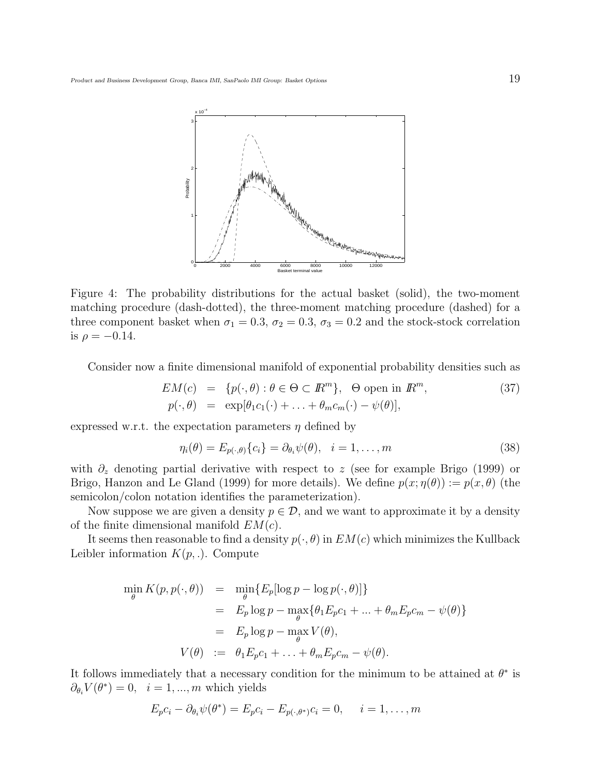

Figure 4: The probability distributions for the actual basket (solid), the two-moment matching procedure (dash-dotted), the three-moment matching procedure (dashed) for a three component basket when  $\sigma_1 = 0.3$ ,  $\sigma_2 = 0.3$ ,  $\sigma_3 = 0.2$  and the stock-stock correlation is  $\rho = -0.14$ .

Consider now a finite dimensional manifold of exponential probability densities such as

$$
EM(c) = \{p(\cdot, \theta) : \theta \in \Theta \subset \mathbb{R}^m\}, \Theta \text{ open in } \mathbb{R}^m,
$$
  
\n
$$
p(\cdot, \theta) = \exp[\theta_1 c_1(\cdot) + \ldots + \theta_m c_m(\cdot) - \psi(\theta)],
$$
\n(37)

expressed w.r.t. the expectation parameters  $\eta$  defined by

$$
\eta_i(\theta) = E_{p(\cdot,\theta)}\{c_i\} = \partial_{\theta_i}\psi(\theta), \quad i = 1,\dots,m
$$
\n(38)

with  $\partial_z$  denoting partial derivative with respect to z (see for example Brigo (1999) or Brigo, Hanzon and Le Gland (1999) for more details). We define  $p(x; \eta(\theta)) := p(x, \theta)$  (the semicolon/colon notation identifies the parameterization).

Now suppose we are given a density  $p \in \mathcal{D}$ , and we want to approximate it by a density of the finite dimensional manifold  $EM(c)$ .

It seems then reasonable to find a density  $p(\cdot, \theta)$  in  $EM(c)$  which minimizes the Kullback Leibler information  $K(p,.)$ . Compute

$$
\min_{\theta} K(p, p(\cdot, \theta)) = \min_{\theta} \{ E_p[\log p - \log p(\cdot, \theta)] \}
$$
  
\n
$$
= E_p \log p - \max_{\theta} \{ \theta_1 E_p c_1 + \dots + \theta_m E_p c_m - \psi(\theta) \}
$$
  
\n
$$
= E_p \log p - \max_{\theta} V(\theta),
$$
  
\n
$$
V(\theta) := \theta_1 E_p c_1 + \dots + \theta_m E_p c_m - \psi(\theta).
$$

It follows immediately that a necessary condition for the minimum to be attained at  $\theta^*$  is  $\partial_{\theta_i} V(\theta^*) = 0$ ,  $i = 1, ..., m$  which yields

$$
E_p c_i - \partial_{\theta_i} \psi(\theta^*) = E_p c_i - E_{p(\cdot, \theta^*)} c_i = 0, \quad i = 1, \dots, m
$$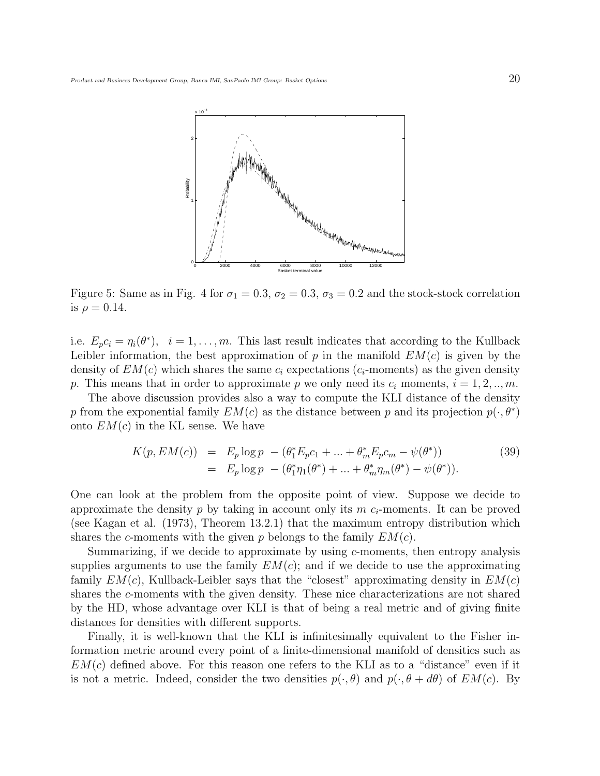

Figure 5: Same as in Fig. 4 for  $\sigma_1 = 0.3$ ,  $\sigma_2 = 0.3$ ,  $\sigma_3 = 0.2$  and the stock-stock correlation is  $\rho = 0.14$ .

i.e.  $E_p c_i = \eta_i(\theta^*)$ ,  $i = 1, ..., m$ . This last result indicates that according to the Kullback Leibler information, the best approximation of  $p$  in the manifold  $EM(c)$  is given by the density of  $EM(c)$  which shares the same  $c_i$  expectations ( $c_i$ -moments) as the given density p. This means that in order to approximate p we only need its  $c_i$  moments,  $i = 1, 2, ..., m$ .

The above discussion provides also a way to compute the KLI distance of the density p from the exponential family  $EM(c)$  as the distance between p and its projection  $p(\cdot, \theta^*)$ onto  $EM(c)$  in the KL sense. We have

$$
K(p, EM(c)) = E_p \log p - (\theta_1^* E_p c_1 + ... + \theta_m^* E_p c_m - \psi(\theta^*))
$$
  
=  $E_p \log p - (\theta_1^* \eta_1(\theta^*) + ... + \theta_m^* \eta_m(\theta^*) - \psi(\theta^*)).$  (39)

One can look at the problem from the opposite point of view. Suppose we decide to approximate the density p by taking in account only its  $m c_i$ -moments. It can be proved (see Kagan et al. (1973), Theorem 13.2.1) that the maximum entropy distribution which shares the c-moments with the given p belongs to the family  $EM(c)$ .

Summarizing, if we decide to approximate by using  $c$ -moments, then entropy analysis supplies arguments to use the family  $EM(c)$ ; and if we decide to use the approximating family  $EM(c)$ , Kullback-Leibler says that the "closest" approximating density in  $EM(c)$ shares the c-moments with the given density. These nice characterizations are not shared by the HD, whose advantage over KLI is that of being a real metric and of giving finite distances for densities with different supports.

Finally, it is well-known that the KLI is infinitesimally equivalent to the Fisher information metric around every point of a finite-dimensional manifold of densities such as  $EM(c)$  defined above. For this reason one refers to the KLI as to a "distance" even if it is not a metric. Indeed, consider the two densities  $p(\cdot,\theta)$  and  $p(\cdot,\theta+d\theta)$  of  $EM(c)$ . By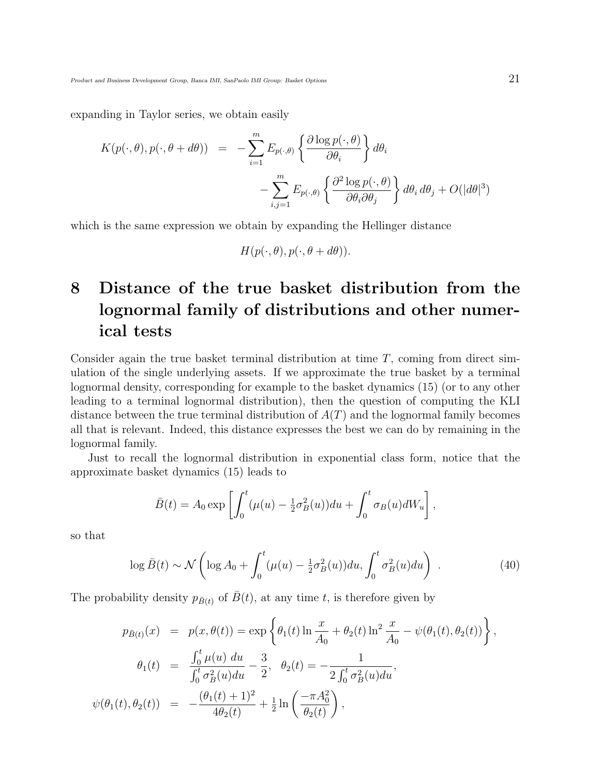expanding in Taylor series, we obtain easily

$$
K(p(\cdot,\theta),p(\cdot,\theta+d\theta)) = -\sum_{i=1}^{m} E_{p(\cdot,\theta)} \left\{ \frac{\partial \log p(\cdot,\theta)}{\partial \theta_i} \right\} d\theta_i
$$

$$
-\sum_{i,j=1}^{m} E_{p(\cdot,\theta)} \left\{ \frac{\partial^2 \log p(\cdot,\theta)}{\partial \theta_i \partial \theta_j} \right\} d\theta_i d\theta_j + O(|d\theta|^3)
$$

which is the same expression we obtain by expanding the Hellinger distance

$$
H(p(\cdot,\theta),p(\cdot,\theta+d\theta)).
$$

## 8 Distance of the true basket distribution from the lognormal family of distributions and other numerical tests

Consider again the true basket terminal distribution at time  $T$ , coming from direct simulation of the single underlying assets. If we approximate the true basket by a terminal lognormal density, corresponding for example to the basket dynamics (15) (or to any other leading to a terminal lognormal distribution), then the question of computing the KLI distance between the true terminal distribution of  $A(T)$  and the lognormal family becomes all that is relevant. Indeed, this distance expresses the best we can do by remaining in the lognormal family.

Just to recall the lognormal distribution in exponential class form, notice that the approximate basket dynamics (15) leads to

$$
\bar{B}(t) = A_0 \exp \left[ \int_0^t (\mu(u) - \frac{1}{2} \sigma_B^2(u)) du + \int_0^t \sigma_B(u) dW_u \right],
$$

so that

$$
\log \bar{B}(t) \sim \mathcal{N}\left(\log A_0 + \int_0^t (\mu(u) - \frac{1}{2}\sigma_B^2(u))du, \int_0^t \sigma_B^2(u)du\right) . \tag{40}
$$

The probability density  $p_{\bar{B}(t)}$  of  $\bar{B}(t)$ , at any time t, is therefore given by

$$
p_{\bar{B}(t)}(x) = p(x, \theta(t)) = \exp\left\{\theta_1(t) \ln \frac{x}{A_0} + \theta_2(t) \ln^2 \frac{x}{A_0} - \psi(\theta_1(t), \theta_2(t))\right\},
$$
  

$$
\theta_1(t) = \frac{\int_0^t \mu(u) du}{\int_0^t \sigma_B^2(u) du} - \frac{3}{2}, \quad \theta_2(t) = -\frac{1}{2 \int_0^t \sigma_B^2(u) du},
$$
  

$$
\psi(\theta_1(t), \theta_2(t)) = -\frac{(\theta_1(t) + 1)^2}{4\theta_2(t)} + \frac{1}{2} \ln\left(\frac{-\pi A_0^2}{\theta_2(t)}\right),
$$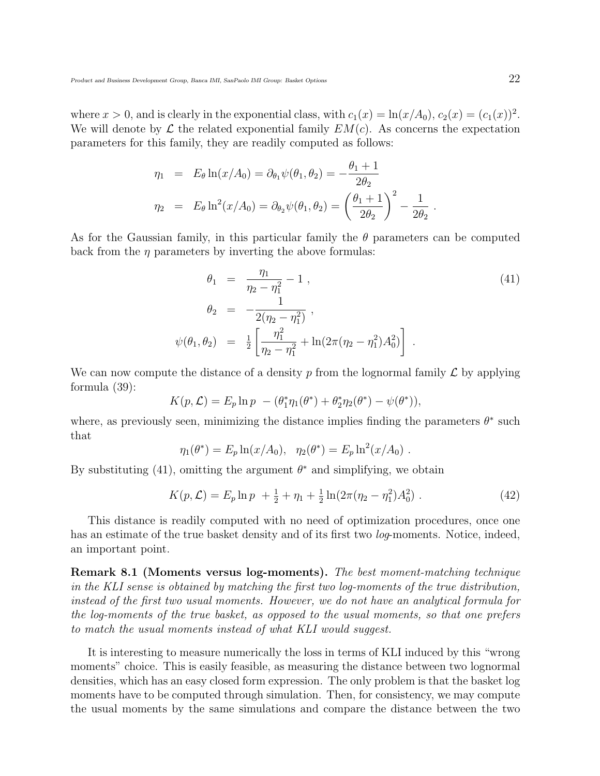where  $x > 0$ , and is clearly in the exponential class, with  $c_1(x) = \ln(x/A_0)$ ,  $c_2(x) = (c_1(x))^2$ . We will denote by  $\mathcal L$  the related exponential family  $EM(c)$ . As concerns the expectation parameters for this family, they are readily computed as follows:

$$
\eta_1 = E_{\theta} \ln(x/A_0) = \partial_{\theta_1} \psi(\theta_1, \theta_2) = -\frac{\theta_1 + 1}{2\theta_2}
$$
  

$$
\eta_2 = E_{\theta} \ln^2(x/A_0) = \partial_{\theta_2} \psi(\theta_1, \theta_2) = \left(\frac{\theta_1 + 1}{2\theta_2}\right)^2 - \frac{1}{2\theta_2}
$$

As for the Gaussian family, in this particular family the  $\theta$  parameters can be computed back from the  $\eta$  parameters by inverting the above formulas:

$$
\theta_1 = \frac{\eta_1}{\eta_2 - \eta_1^2} - 1 ,
$$
\n
$$
\theta_2 = -\frac{1}{2(\eta_2 - \eta_1^2)} ,
$$
\n
$$
\psi(\theta_1, \theta_2) = \frac{1}{2} \left[ \frac{\eta_1^2}{\eta_2 - \eta_1^2} + \ln(2\pi(\eta_2 - \eta_1^2)A_0^2) \right] .
$$
\n(41)

We can now compute the distance of a density p from the lognormal family  $\mathcal L$  by applying formula (39):

$$
K(p, \mathcal{L}) = E_p \ln p - (\theta_1^* \eta_1(\theta^*) + \theta_2^* \eta_2(\theta^*) - \psi(\theta^*)),
$$

where, as previously seen, minimizing the distance implies finding the parameters  $\theta^*$  such that

$$
\eta_1(\theta^*) = E_p \ln(x/A_0), \quad \eta_2(\theta^*) = E_p \ln^2(x/A_0) .
$$

By substituting (41), omitting the argument  $\theta^*$  and simplifying, we obtain

$$
K(p, \mathcal{L}) = E_p \ln p + \frac{1}{2} + \eta_1 + \frac{1}{2} \ln(2\pi(\eta_2 - \eta_1^2) A_0^2) \,. \tag{42}
$$

This distance is readily computed with no need of optimization procedures, once one has an estimate of the true basket density and of its first two *log*-moments. Notice, indeed, an important point.

Remark 8.1 (Moments versus log-moments). The best moment-matching technique in the KLI sense is obtained by matching the first two log-moments of the true distribution, instead of the first two usual moments. However, we do not have an analytical formula for the log-moments of the true basket, as opposed to the usual moments, so that one prefers to match the usual moments instead of what KLI would suggest.

It is interesting to measure numerically the loss in terms of KLI induced by this "wrong moments" choice. This is easily feasible, as measuring the distance between two lognormal densities, which has an easy closed form expression. The only problem is that the basket log moments have to be computed through simulation. Then, for consistency, we may compute the usual moments by the same simulations and compare the distance between the two

.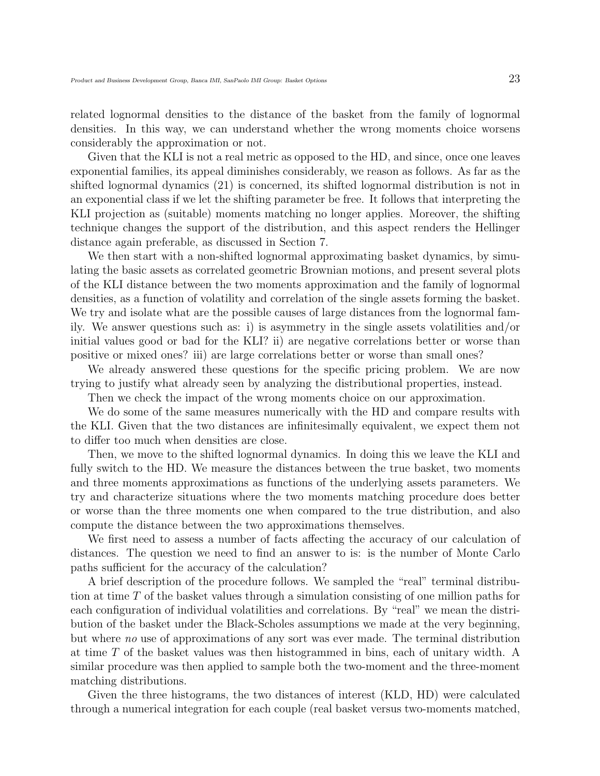related lognormal densities to the distance of the basket from the family of lognormal densities. In this way, we can understand whether the wrong moments choice worsens considerably the approximation or not.

Given that the KLI is not a real metric as opposed to the HD, and since, once one leaves exponential families, its appeal diminishes considerably, we reason as follows. As far as the shifted lognormal dynamics (21) is concerned, its shifted lognormal distribution is not in an exponential class if we let the shifting parameter be free. It follows that interpreting the KLI projection as (suitable) moments matching no longer applies. Moreover, the shifting technique changes the support of the distribution, and this aspect renders the Hellinger distance again preferable, as discussed in Section 7.

We then start with a non-shifted lognormal approximating basket dynamics, by simulating the basic assets as correlated geometric Brownian motions, and present several plots of the KLI distance between the two moments approximation and the family of lognormal densities, as a function of volatility and correlation of the single assets forming the basket. We try and isolate what are the possible causes of large distances from the lognormal family. We answer questions such as: i) is asymmetry in the single assets volatilities and/or initial values good or bad for the KLI? ii) are negative correlations better or worse than positive or mixed ones? iii) are large correlations better or worse than small ones?

We already answered these questions for the specific pricing problem. We are now trying to justify what already seen by analyzing the distributional properties, instead.

Then we check the impact of the wrong moments choice on our approximation.

We do some of the same measures numerically with the HD and compare results with the KLI. Given that the two distances are infinitesimally equivalent, we expect them not to differ too much when densities are close.

Then, we move to the shifted lognormal dynamics. In doing this we leave the KLI and fully switch to the HD. We measure the distances between the true basket, two moments and three moments approximations as functions of the underlying assets parameters. We try and characterize situations where the two moments matching procedure does better or worse than the three moments one when compared to the true distribution, and also compute the distance between the two approximations themselves.

We first need to assess a number of facts affecting the accuracy of our calculation of distances. The question we need to find an answer to is: is the number of Monte Carlo paths sufficient for the accuracy of the calculation?

A brief description of the procedure follows. We sampled the "real" terminal distribution at time T of the basket values through a simulation consisting of one million paths for each configuration of individual volatilities and correlations. By "real" we mean the distribution of the basket under the Black-Scholes assumptions we made at the very beginning, but where no use of approximations of any sort was ever made. The terminal distribution at time T of the basket values was then histogrammed in bins, each of unitary width. A similar procedure was then applied to sample both the two-moment and the three-moment matching distributions.

Given the three histograms, the two distances of interest (KLD, HD) were calculated through a numerical integration for each couple (real basket versus two-moments matched,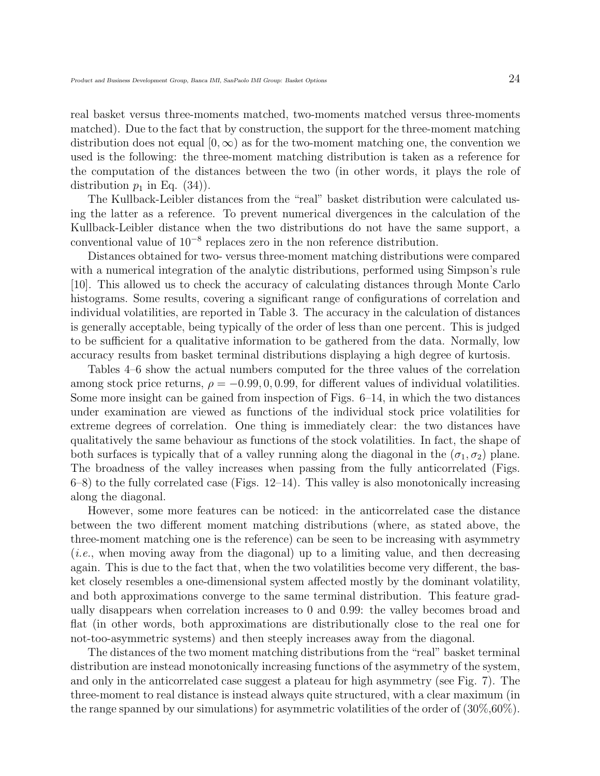real basket versus three-moments matched, two-moments matched versus three-moments matched). Due to the fact that by construction, the support for the three-moment matching distribution does not equal  $[0, \infty)$  as for the two-moment matching one, the convention we used is the following: the three-moment matching distribution is taken as a reference for the computation of the distances between the two (in other words, it plays the role of distribution  $p_1$  in Eq. (34)).

The Kullback-Leibler distances from the "real" basket distribution were calculated using the latter as a reference. To prevent numerical divergences in the calculation of the Kullback-Leibler distance when the two distributions do not have the same support, a conventional value of  $10^{-8}$  replaces zero in the non reference distribution.

Distances obtained for two- versus three-moment matching distributions were compared with a numerical integration of the analytic distributions, performed using Simpson's rule [10]. This allowed us to check the accuracy of calculating distances through Monte Carlo histograms. Some results, covering a significant range of configurations of correlation and individual volatilities, are reported in Table 3. The accuracy in the calculation of distances is generally acceptable, being typically of the order of less than one percent. This is judged to be sufficient for a qualitative information to be gathered from the data. Normally, low accuracy results from basket terminal distributions displaying a high degree of kurtosis.

Tables 4–6 show the actual numbers computed for the three values of the correlation among stock price returns,  $\rho = -0.99, 0, 0.99$ , for different values of individual volatilities. Some more insight can be gained from inspection of Figs. 6–14, in which the two distances under examination are viewed as functions of the individual stock price volatilities for extreme degrees of correlation. One thing is immediately clear: the two distances have qualitatively the same behaviour as functions of the stock volatilities. In fact, the shape of both surfaces is typically that of a valley running along the diagonal in the  $(\sigma_1, \sigma_2)$  plane. The broadness of the valley increases when passing from the fully anticorrelated (Figs. 6–8) to the fully correlated case (Figs. 12–14). This valley is also monotonically increasing along the diagonal.

However, some more features can be noticed: in the anticorrelated case the distance between the two different moment matching distributions (where, as stated above, the three-moment matching one is the reference) can be seen to be increasing with asymmetry (i.e., when moving away from the diagonal) up to a limiting value, and then decreasing again. This is due to the fact that, when the two volatilities become very different, the basket closely resembles a one-dimensional system affected mostly by the dominant volatility, and both approximations converge to the same terminal distribution. This feature gradually disappears when correlation increases to 0 and 0.99: the valley becomes broad and flat (in other words, both approximations are distributionally close to the real one for not-too-asymmetric systems) and then steeply increases away from the diagonal.

The distances of the two moment matching distributions from the "real" basket terminal distribution are instead monotonically increasing functions of the asymmetry of the system, and only in the anticorrelated case suggest a plateau for high asymmetry (see Fig. 7). The three-moment to real distance is instead always quite structured, with a clear maximum (in the range spanned by our simulations) for asymmetric volatilities of the order of  $(30\%, 60\%)$ .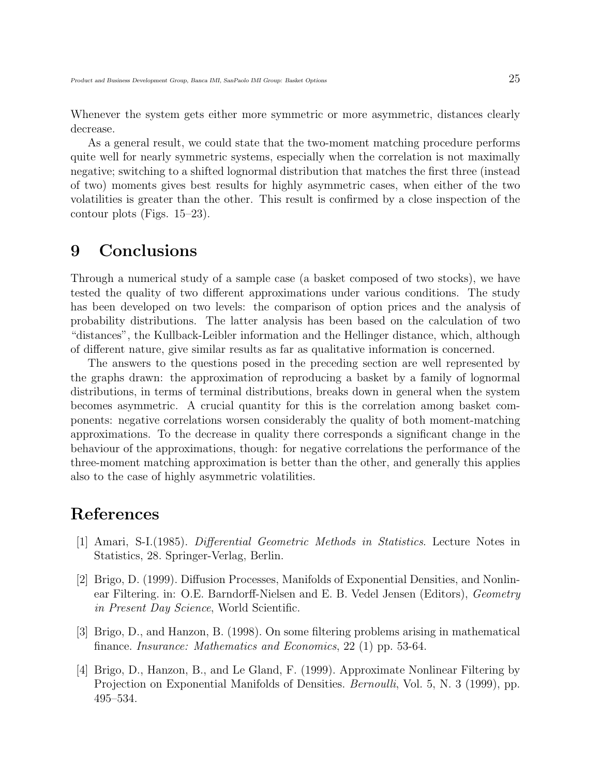Whenever the system gets either more symmetric or more asymmetric, distances clearly decrease.

As a general result, we could state that the two-moment matching procedure performs quite well for nearly symmetric systems, especially when the correlation is not maximally negative; switching to a shifted lognormal distribution that matches the first three (instead of two) moments gives best results for highly asymmetric cases, when either of the two volatilities is greater than the other. This result is confirmed by a close inspection of the contour plots (Figs. 15–23).

### 9 Conclusions

Through a numerical study of a sample case (a basket composed of two stocks), we have tested the quality of two different approximations under various conditions. The study has been developed on two levels: the comparison of option prices and the analysis of probability distributions. The latter analysis has been based on the calculation of two "distances", the Kullback-Leibler information and the Hellinger distance, which, although of different nature, give similar results as far as qualitative information is concerned.

The answers to the questions posed in the preceding section are well represented by the graphs drawn: the approximation of reproducing a basket by a family of lognormal distributions, in terms of terminal distributions, breaks down in general when the system becomes asymmetric. A crucial quantity for this is the correlation among basket components: negative correlations worsen considerably the quality of both moment-matching approximations. To the decrease in quality there corresponds a significant change in the behaviour of the approximations, though: for negative correlations the performance of the three-moment matching approximation is better than the other, and generally this applies also to the case of highly asymmetric volatilities.

### References

- [1] Amari, S-I.(1985). Differential Geometric Methods in Statistics. Lecture Notes in Statistics, 28. Springer-Verlag, Berlin.
- [2] Brigo, D. (1999). Diffusion Processes, Manifolds of Exponential Densities, and Nonlinear Filtering. in: O.E. Barndorff-Nielsen and E. B. Vedel Jensen (Editors), Geometry in Present Day Science, World Scientific.
- [3] Brigo, D., and Hanzon, B. (1998). On some filtering problems arising in mathematical finance. *Insurance: Mathematics and Economics*, 22 (1) pp. 53-64.
- [4] Brigo, D., Hanzon, B., and Le Gland, F. (1999). Approximate Nonlinear Filtering by Projection on Exponential Manifolds of Densities. *Bernoulli*, Vol. 5, N. 3 (1999), pp. 495–534.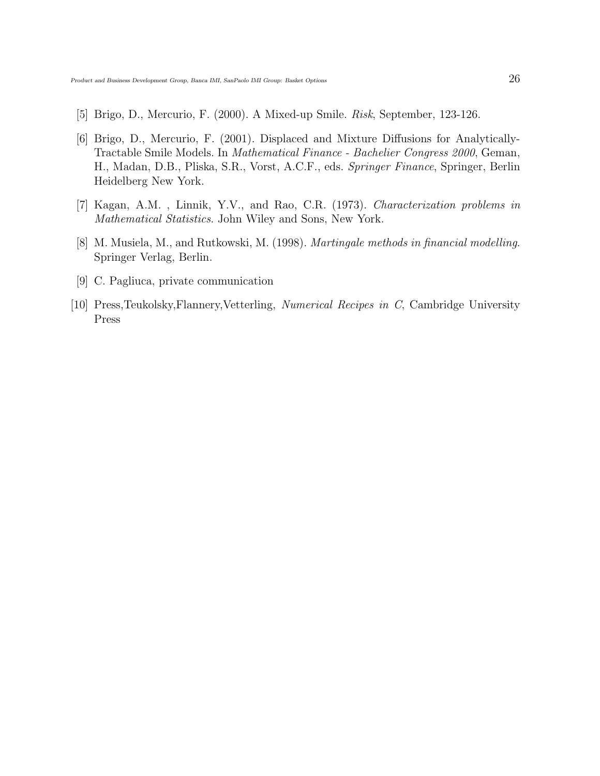- [5] Brigo, D., Mercurio, F. (2000). A Mixed-up Smile. Risk, September, 123-126.
- [6] Brigo, D., Mercurio, F. (2001). Displaced and Mixture Diffusions for Analytically-Tractable Smile Models. In Mathematical Finance - Bachelier Congress 2000, Geman, H., Madan, D.B., Pliska, S.R., Vorst, A.C.F., eds. Springer Finance, Springer, Berlin Heidelberg New York.
- [7] Kagan, A.M. , Linnik, Y.V., and Rao, C.R. (1973). Characterization problems in Mathematical Statistics. John Wiley and Sons, New York.
- [8] M. Musiela, M., and Rutkowski, M. (1998). Martingale methods in financial modelling. Springer Verlag, Berlin.
- [9] C. Pagliuca, private communication
- [10] Press,Teukolsky,Flannery,Vetterling, Numerical Recipes in C, Cambridge University Press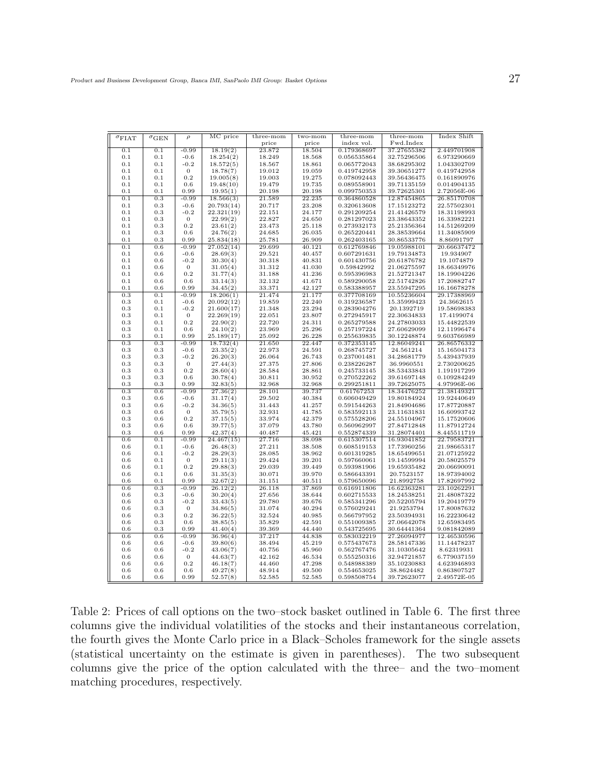| $\sigma_{\rm FIAT}$ | $\sigma$ GEN | $\rho$           | MC price   | three-mom | two-mom | three-mom   | three-mom   | Index Shift |
|---------------------|--------------|------------------|------------|-----------|---------|-------------|-------------|-------------|
|                     |              |                  |            | price     | price   | index vol.  | Fwd.Index   |             |
| 0.1                 | 0.1          | $-0.99$          | 18.19(2)   | 23.872    | 18.504  | 0.179368697 | 37.27655382 | 2.449701908 |
| 0.1                 | 0.1          | $-0.6$           | 18.254(2)  | 18.249    | 18.568  | 0.056535864 | 32.75296506 | 6.973290669 |
| 0.1                 | 0.1          | $-0.2$           | 18.572(5)  | 18.567    | 18.861  | 0.065772043 | 38.68295302 | 1.043302709 |
| $_{0.1}$            | 0.1          | 0                | 18.78(7)   | 19.012    | 19.059  | 0.419742958 | 39.30651277 | 0.419742958 |
| 0.1                 | 0.1          | 0.2              | 19.005(8)  | 19.003    | 19.275  | 0.078092443 | 39.56436475 | 0.161890976 |
| 0.1                 | 0.1          | 0.6              | 19.48(10)  | 19.479    | 19.735  | 0.089558901 | 39.71135159 | 0.014904135 |
| $_{0.1}$            | 0.1          | 0.99             | 19.95(1)   | 20.198    | 20.198  | 0.099750353 | 39.72625301 | 2.72056E-06 |
| 0.1                 | 0.3          | $-0.99$          | 18.566(3)  | 21.589    | 22.235  |             | 12.87454865 |             |
|                     |              |                  |            |           |         | 0.364860528 |             | 26.85170708 |
| 0.1                 | 0.3          | $-0.6$           | 20.793(14) | 20.717    | 23.208  | 0.320613608 | 17.15123272 | 22.57502301 |
| 0.1                 | 0.3          | $-0.2$           | 22.321(19) | 22.151    | 24.177  | 0.291209254 | 21.41426579 | 18.31198993 |
| 0.1                 | 0.3          | $\overline{0}$   | 22.99(2)   | 22.827    | 24.650  | 0.281297023 | 23.38643352 | 16.33982221 |
| $_{0.1}$            | $_{0.3}$     | 0.2              | 23.61(2)   | 23.473    | 25.118  | 0.273932173 | 25.21356364 | 14.51269209 |
| 0.1                 | 0.3          | 0.6              | 24.76(2)   | 24.685    | 26.035  | 0.265220441 | 28.38539664 | 11.34085909 |
| $_{0.1}$            | $_{0.3}$     | 0.99             | 25.834(18) | 25.781    | 26.909  | 0.262403165 | 30.86533776 | 8.86091797  |
| 0.1                 | 0.6          | $-0.99$          | 27.052(14) | 29.699    | 40.121  | 0.612769846 | 19.05988101 | 20.66637472 |
| 0.1                 | 0.6          | $-0.6$           | 28.69(3)   | 29.521    | 40.457  | 0.607291631 | 19.79134873 | 19.934907   |
| 0.1                 | 0.6          | $-0.2$           | 30.30(4)   | 30.318    | 40.831  | 0.601430756 | 20.61876782 | 19.1074879  |
| 0.1                 | 0.6          | $\mathbf{0}$     | 31.05(4)   | 31.312    | 41.030  | 0.59842992  | 21.06275597 | 18.66349976 |
| $_{0.1}$            | $_{0.6}$     | 0.2              | 31.77(4)   | 31.188    | 41.236  | 0.595396983 | 21.52721347 | 18.19904226 |
| 0.1                 | 0.6          | 0.6              | 33.14(3)   | 32.132    | 41.671  | 0.589290058 | 22.51742826 | 17.20882747 |
| $_{0.1}$            | $_{0.6}$     | 0.99             | 34.45(2)   | 33.371    | 42.127  | 0.583388957 | 23.55947295 | 16.16678278 |
| 0.3                 | 0.1          | $-0.99$          | 18.206(1)  | 21.474    | 21.177  | 0.377708169 | 10.55236604 | 29.17388969 |
| $_{0.3}$            | 0.1          | $-0.6$           | 20.092(12) | 19.859    | 22.240  | 0.319236587 | 15.35999423 | 24.3662615  |
|                     |              | $-0.2$           |            |           |         |             |             |             |
| 0.3                 | 0.1          |                  | 21.600(17) | 21.348    | 23.294  | 0.283904276 | 20.1392719  | 19.58698383 |
| $_{0.3}$            | 0.1          | $\boldsymbol{0}$ | 22.269(19) | 22.051    | 23.807  | 0.272945917 | 22.30634833 | 17.4199074  |
| $_{0.3}$            | 0.1          | 0.2              | 22.90(2)   | 22.720    | 24.311  | 0.265279588 | 24.27803033 | 15.44822539 |
| 0.3                 | 0.1          | 0.6              | 24.10(2)   | 23.969    | 25.296  | 0.257197224 | 27.60629099 | 12.11996474 |
| 0.3                 | 0.1          | 0.99             | 25.189(17) | 25.092    | 26.228  | 0.255639835 | 30.12248874 | 9.603766989 |
| 0.3                 | 0.3          | $-0.99$          | 18.732(4)  | 21.650    | 22.447  | 0.372353145 | 12.86049241 | 26.86576332 |
| $_{0.3}$            | 0.3          | $-0.6$           | 23.35(2)   | 22.973    | 24.591  | 0.268745727 | 24.561214   | 15.16504173 |
| 0.3                 | 0.3          | $-0.2$           | 26.20(3)   | 26.064    | 26.743  | 0.237001481 | 34.28681779 | 5.439437939 |
| $_{0.3}$            | 0.3          | $\boldsymbol{0}$ | 27.44(3)   | 27.375    | 27.806  | 0.238226287 | 36.9960551  | 2.730200625 |
| $_{0.3}$            | $_{0.3}$     | 0.2              | 28.60(4)   | 28.584    | 28.861  | 0.245733145 | 38.53433843 | 1.191917299 |
| $_{0.3}$            | $_{0.3}$     | 0.6              | 30.78(4)   | 30.811    | 30.952  | 0.270522262 | 39.61697148 | 0.109284249 |
| $_{0.3}$            | 0.3          | 0.99             | 32.83(5)   | 32.968    | 32.968  | 0.299251811 | 39.72625075 | 4.97996E-06 |
| 0.3                 | 0.6          | $-0.99$          | 27.36(2)   | 28.101    | 39.737  | 0.61767253  | 18.34476252 | 21.38149321 |
| 0.3                 | 0.6          | $-0.6$           | 31.17(4)   | 29.502    | 40.384  | 0.606049429 | 19.80184924 | 19.92440649 |
| 0.3                 | 0.6          | $-0.2$           | 34.36(5)   | 31.443    | 41.257  | 0.591544263 | 21.84904686 | 17.87720887 |
| 0.3                 | 0.6          | $\mathbf{0}$     | 35.79(5)   | 32.931    | 41.785  | 0.583592113 | 23.11631831 | 16.60993742 |
|                     |              | 0.2              |            | 33.974    |         |             |             |             |
| $_{0.3}$            | $_{0.6}$     |                  | 37.15(5)   |           | 42.379  | 0.575528206 | 24.55104967 | 15.17520606 |
| $_{0.3}$            | $_{0.6}$     | 0.6              | 39.77(5)   | 37.079    | 43.780  | 0.560962997 | 27.84712848 | 11.87912724 |
| 0.3                 | 0.6          | 0.99             | 42.37(4)   | 40.487    | 45.421  | 0.552874339 | 31.28074401 | 8.445511719 |
| 0.6                 | 0.1          | $-0.99$          | 24.467(15) | 27.716    | 38.098  | 0.615307514 | 16.93041852 | 22.79583721 |
| $_{0.6}$            | 0.1          | $-0.6$           | 26.48(3)   | 27.211    | 38.508  | 0.608519153 | 17.73960256 | 21.98665317 |
| $_{0.6}$            | 0.1          | $-0.2$           | 28.29(3)   | 28.085    | 38.962  | 0.601319285 | 18.65499651 | 21.07125922 |
| $0.6\,$             | 0.1          | $\mathbf{0}$     | 29.11(3)   | 29.424    | 39.201  | 0.597660061 | 19.14599994 | 20.58025579 |
| $_{0.6}$            | 0.1          | 0.2              | 29.88(3)   | 29.039    | 39.449  | 0.593981906 | 19.65935482 | 20.06690091 |
| 0.6                 | 0.1          | 0.6              | 31.35(3)   | 30.071    | 39.970  | 0.586643391 | 20.7523157  | 18.97394002 |
| $_{0.6}$            | 0.1          | 0.99             | 32.67(2)   | 31.151    | 40.511  | 0.579650096 | 21.8992758  | 17.82697992 |
| 0.6                 | 0.3          | $-0.99$          | 26.12(2)   | 26.118    | 37.869  | 0.616911806 | 16.62363281 | 23.10262291 |
| $_{0.6}$            | 0.3          | $-0.6$           | 30.20(4)   | 27.656    | 38.644  | 0.602715533 | 18.24538251 | 21.48087322 |
| $_{0.6}$            | $_{0.3}$     | $-0.2$           | 33.43(5)   | 29.780    | 39.676  | 0.585341296 | 20.52205794 | 19.20419779 |
| $_{0.6}$            | 0.3          | $\mathbf{0}$     | 34.86(5)   | 31.074    | 40.294  | 0.576029241 | 21.9253794  | 17.80087632 |
| $_{0.6}$            | $_{0.3}$     | 0.2              | 36.22(5)   | 32.524    | 40.985  | 0.566797952 | 23.50394931 | 16.22230642 |
| 0.6                 | $_{0.3}$     | 0.6              | 38.85(5)   | 35.829    | 42.591  | 0.551009385 | 27.06642078 | 12.65983495 |
| $_{0.6}$            | $_{0.3}$     | 0.99             | 41.40(4)   | 39.369    | 44.440  | 0.543725695 | 30.64441364 | 9.081842089 |
| 0.6                 | 0.6          | $-0.99$          | 36.96(4)   | 37.217    | 44.838  | 0.583032219 | 27.26094977 | 12.46530596 |
| 0.6                 | 0.6          | $-0.6$           | 39.80(6)   | 38.494    | 45.219  | 0.575437673 | 28.58147336 | 11.14478237 |
|                     |              | $-0.2$           |            |           |         |             |             |             |
| $_{0.6}$            | $_{0.6}$     |                  | 43.06(7)   | 40.756    | 45.960  | 0.562767476 | 31.10305642 | 8.62319931  |
| $_{0.6}$            | 0.6          | $\boldsymbol{0}$ | 44.63(7)   | 42.162    | 46.534  | 0.555250316 | 32.94721857 | 6.779037159 |
| $_{0.6}$            | $_{0.6}$     | 0.2              | 46.18(7)   | 44.460    | 47.298  | 0.548988389 | 35.10230883 | 4.623946893 |
| 0.6                 | 0.6          | 0.6              | 49.27(8)   | 48.914    | 49.500  | 0.554653025 | 38.8624482  | 0.863807527 |
| 0.6                 | $_{0.6}$     | 0.99             | 52.57(8)   | 52.585    | 52.585  | 0.598508754 | 39.72623077 | 2.49572E-05 |

Table 2: Prices of call options on the two–stock basket outlined in Table 6. The first three columns give the individual volatilities of the stocks and their instantaneous correlation, the fourth gives the Monte Carlo price in a Black–Scholes framework for the single assets (statistical uncertainty on the estimate is given in parentheses). The two subsequent columns give the price of the option calculated with the three– and the two–moment matching procedures, respectively.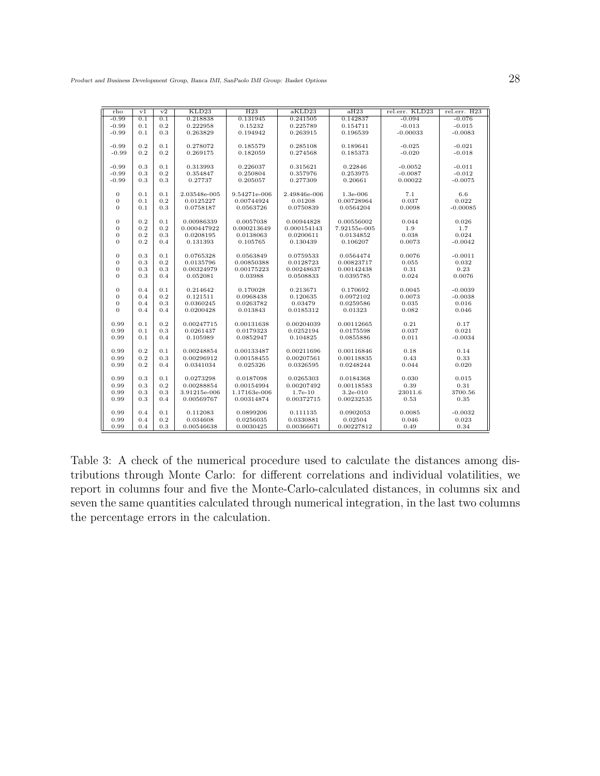| rho              | v1  | v2  | KLD23        | H23          | aKLD23       | aH23         | rel.err. KLD23 | rel.err. H23 |
|------------------|-----|-----|--------------|--------------|--------------|--------------|----------------|--------------|
| $-0.99$          | 0.1 | 0.1 | 0.218838     | 0.131945     | 0.241505     | 0.142837     | $-0.094$       | $-0.076$     |
| $-0.99$          | 0.1 | 0.2 | 0.222958     | 0.15232      | 0.225789     | 0.154711     | $-0.013$       | $-0.015$     |
| $-0.99$          | 0.1 | 0.3 | 0.263829     | 0.194942     | 0.263915     | 0.196539     | $-0.00033$     | $-0.0083$    |
|                  |     |     |              |              |              |              |                |              |
| $-0.99$          | 0.2 | 0.1 | 0.278072     | 0.185579     | 0.285108     | 0.189641     | $-0.025$       | $-0.021$     |
| $-0.99$          | 0.2 | 0.2 | 0.269175     | 0.182059     | 0.274568     | 0.185373     | $-0.020$       | $-0.018$     |
|                  |     |     |              |              |              |              |                |              |
| $-0.99$          | 0.3 | 0.1 | 0.313993     | 0.226037     | 0.315621     | 0.22846      | $-0.0052$      | $-0.011$     |
| $-0.99$          | 0.3 | 0.2 | 0.354847     | 0.250804     | 0.357976     | 0.253975     | $-0.0087$      | $-0.012$     |
| $-0.99$          | 0.3 | 0.3 | 0.27737      | 0.205057     | 0.277309     | 0.20661      | 0.00022        | $-0.0075$    |
|                  |     |     |              |              |              |              |                |              |
| $\theta$         | 0.1 | 0.1 | 2.03548e-005 | 9.54271e-006 | 2.49846e-006 | $1.3e-006$   | 7.1            | 6.6          |
| $\mathbf{0}$     | 0.1 | 0.2 | 0.0125227    | 0.00744924   | 0.01208      | 0.00728964   | 0.037          | 0.022        |
| $\theta$         | 0.1 | 0.3 | 0.0758187    | 0.0563726    | 0.0750839    | 0.0564204    | 0.0098         | $-0.00085$   |
|                  |     |     |              |              |              |              |                |              |
| $\theta$         | 0.2 | 0.1 | 0.00986339   | 0.0057038    | 0.00944828   | 0.00556002   | 0.044          | 0.026        |
| 0                | 0.2 | 0.2 | 0.000447922  | 0.000213649  | 0.000154143  | 7.92155e-005 | 1.9            | 1.7          |
| 0                | 0.2 | 0.3 | 0.0208195    | 0.0138063    | 0.0200611    | 0.0134852    | 0.038          | 0.024        |
| $\mathbf{0}$     | 0.2 | 0.4 | 0.131393     | 0.105765     | 0.130439     | 0.106207     | 0.0073         | $-0.0042$    |
|                  |     |     |              |              |              |              |                |              |
| $\theta$         | 0.3 | 0.1 | 0.0765328    | 0.0563849    | 0.0759533    | 0.0564474    | 0.0076         | $-0.0011$    |
| $\mathbf{0}$     | 0.3 | 0.2 | 0.0135796    | 0.00850388   | 0.0128723    | 0.00823717   | 0.055          | 0.032        |
| $\mathbf{0}$     | 0.3 | 0.3 | 0.00324979   | 0.00175223   | 0.00248637   | 0.00142438   | 0.31           | 0.23         |
| $\overline{0}$   | 0.3 | 0.4 | 0.052081     | 0.03988      | 0.0508833    | 0.0395785    | 0.024          | 0.0076       |
|                  |     |     |              |              |              |              |                |              |
| $\mathbf{0}$     | 0.4 | 0.1 | 0.214642     | 0.170028     | 0.213671     | 0.170692     | 0.0045         | $-0.0039$    |
| $\theta$         | 0.4 | 0.2 | 0.121511     | 0.0968438    | 0.120635     | 0.0972102    | 0.0073         | $-0.0038$    |
| $\boldsymbol{0}$ | 0.4 | 0.3 | 0.0360245    | 0.0263782    | 0.03479      | 0.0259586    | 0.035          | 0.016        |
| $\overline{0}$   | 0.4 | 0.4 | 0.0200428    | 0.013843     | 0.0185312    | 0.01323      | 0.082          | 0.046        |
|                  |     |     |              |              |              |              |                |              |
| 0.99             | 0.1 | 0.2 | 0.00247715   | 0.00131638   | 0.00204039   | 0.00112665   | 0.21           | 0.17         |
| 0.99             | 0.1 | 0.3 | 0.0261437    | 0.0179323    | 0.0252194    | 0.0175598    | 0.037          | 0.021        |
| 0.99             | 0.1 | 0.4 | 0.105989     | 0.0852947    | 0.104825     | 0.0855886    | 0.011          | $-0.0034$    |
|                  |     |     |              |              |              |              |                |              |
| 0.99             | 0.2 | 0.1 | 0.00248854   | 0.00133487   | 0.00211696   | 0.00116846   | 0.18           | 0.14         |
| 0.99             | 0.2 | 0.3 | 0.00296912   | 0.00158455   | 0.00207561   | 0.00118835   | 0.43           | 0.33         |
| 0.99             | 0.2 | 0.4 | 0.0341034    | 0.025326     | 0.0326595    | 0.0248244    | 0.044          | 0.020        |
|                  |     |     |              |              |              |              |                |              |
| 0.99             | 0.3 | 0.1 | 0.0273298    | 0.0187098    | 0.0265303    | 0.0184368    | 0.030          | 0.015        |
| 0.99             | 0.3 | 0.2 | 0.00288854   | 0.00154994   | 0.00207492   | 0.00118583   | 0.39           | 0.31         |
| 0.99             | 0.3 | 0.3 | 3.91215e-006 | 1.17163e-006 | $1.7e-10$    | $3.2e-010$   | 23011.6        | 3700.56      |
| 0.99             | 0.3 | 0.4 | 0.00569767   | 0.00314874   | 0.00372715   | 0.00232535   | 0.53           | 0.35         |
|                  |     |     |              |              |              |              |                |              |
| 0.99             | 0.4 | 0.1 | 0.112083     | 0.0899206    | 0.111135     | 0.0902053    | 0.0085         | $-0.0032$    |
| 0.99             | 0.4 | 0.2 | 0.034608     | 0.0256035    | 0.0330881    | 0.02504      | 0.046          | 0.023        |
| 0.99             | 0.4 | 0.3 | 0.00546638   | 0.0030425    | 0.00366671   | 0.00227812   | 0.49           | 0.34         |
|                  |     |     |              |              |              |              |                |              |

Table 3: A check of the numerical procedure used to calculate the distances among distributions through Monte Carlo: for different correlations and individual volatilities, we report in columns four and five the Monte-Carlo-calculated distances, in columns six and seven the same quantities calculated through numerical integration, in the last two columns the percentage errors in the calculation.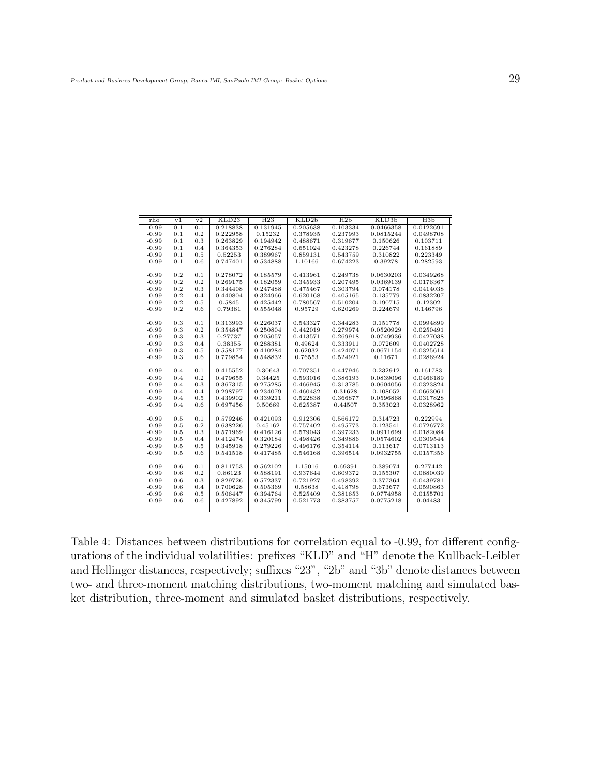| rho     | v <sub>1</sub> | v2  | KLD23    | H <sub>23</sub> | KLD2b    | H2b      | KLD3b     | H3b       |
|---------|----------------|-----|----------|-----------------|----------|----------|-----------|-----------|
| $-0.99$ | 0.1            | 0.1 | 0.218838 | 0.131945        | 0.205638 | 0.103334 | 0.0466358 | 0.0122691 |
| $-0.99$ | 0.1            | 0.2 | 0.222958 | 0.15232         | 0.378935 | 0.237993 | 0.0815244 | 0.0498708 |
| $-0.99$ | 0.1            | 0.3 | 0.263829 | 0.194942        | 0.488671 | 0.319677 | 0.150626  | 0.103711  |
| $-0.99$ | 0.1            | 0.4 | 0.364353 | 0.276284        | 0.651024 | 0.423278 | 0.226744  | 0.161889  |
| $-0.99$ | 0.1            | 0.5 | 0.52253  | 0.389967        | 0.859131 | 0.543759 | 0.310822  | 0.223349  |
| $-0.99$ | 0.1            | 0.6 | 0.747401 | 0.534888        | 1.10166  | 0.674223 | 0.39278   | 0.282593  |
|         |                |     |          |                 |          |          |           |           |
| $-0.99$ | 0.2            | 0.1 | 0.278072 | 0.185579        | 0.413961 | 0.249738 | 0.0630203 | 0.0349268 |
| $-0.99$ | 0.2            | 0.2 | 0.269175 | 0.182059        | 0.345933 | 0.207495 | 0.0369139 | 0.0176367 |
| $-0.99$ | 0.2            | 0.3 | 0.344408 | 0.247488        | 0.475467 | 0.303794 | 0.074178  | 0.0414038 |
| $-0.99$ | 0.2            | 0.4 | 0.440804 | 0.324966        | 0.620168 | 0.405165 | 0.135779  | 0.0832207 |
| $-0.99$ | 0.2            | 0.5 | 0.5845   | 0.425442        | 0.780567 | 0.510204 | 0.190715  | 0.12302   |
| $-0.99$ | 0.2            | 0.6 | 0.79381  | 0.555048        | 0.95729  | 0.620269 | 0.224679  | 0.146796  |
|         |                |     |          |                 |          |          |           |           |
| $-0.99$ | 0.3            | 0.1 | 0.313993 | 0.226037        | 0.543327 | 0.344283 | 0.151778  | 0.0994899 |
| $-0.99$ | 0.3            | 0.2 | 0.354847 | 0.250804        | 0.442019 | 0.279974 | 0.0520929 | 0.0250491 |
| $-0.99$ | 0.3            | 0.3 | 0.27737  | 0.205057        | 0.413571 | 0.269918 | 0.0749936 | 0.0427038 |
| $-0.99$ | 0.3            | 0.4 | 0.38355  | 0.288381        | 0.49624  | 0.333911 | 0.072609  | 0.0402728 |
| $-0.99$ | 0.3            | 0.5 | 0.558177 | 0.410284        | 0.62032  | 0.424071 | 0.0671154 | 0.0325614 |
| $-0.99$ | 0.3            | 0.6 | 0.779854 | 0.548832        | 0.76553  | 0.524921 | 0.11671   | 0.0286924 |
|         |                |     |          |                 |          |          |           |           |
| $-0.99$ | 0.4            | 0.1 | 0.415552 | 0.30643         | 0.707351 | 0.447946 | 0.232912  | 0.161783  |
| $-0.99$ | 0.4            | 0.2 | 0.479655 | 0.34425         | 0.593016 | 0.386193 | 0.0839096 | 0.0466189 |
| $-0.99$ | 0.4            | 0.3 | 0.367315 | 0.275285        | 0.466945 | 0.313785 | 0.0604056 | 0.0323824 |
| $-0.99$ | 0.4            | 0.4 | 0.298797 | 0.234079        | 0.460432 | 0.31628  | 0.108052  | 0.0663061 |
| $-0.99$ | 0.4            | 0.5 | 0.439902 | 0.339211        | 0.522838 | 0.366877 | 0.0596868 | 0.0317828 |
| $-0.99$ | 0.4            | 0.6 | 0.697456 | 0.50669         | 0.625387 | 0.44507  | 0.353023  | 0.0328962 |
|         |                |     |          |                 |          |          |           |           |
| $-0.99$ | 0.5            | 0.1 | 0.579246 | 0.421093        | 0.912306 | 0.566172 | 0.314723  | 0.222994  |
| $-0.99$ | 0.5            | 0.2 | 0.638226 | 0.45162         | 0.757402 | 0.495773 | 0.123541  | 0.0726772 |
| $-0.99$ | 0.5            | 0.3 | 0.571969 | 0.416126        | 0.579043 | 0.397233 | 0.0911699 | 0.0182084 |
| $-0.99$ | 0.5            | 0.4 | 0.412474 | 0.320184        | 0.498426 | 0.349886 | 0.0574602 | 0.0309544 |
| $-0.99$ | 0.5            | 0.5 | 0.345918 | 0.279226        | 0.496176 | 0.354114 | 0.113617  | 0.0713113 |
| $-0.99$ | 0.5            | 0.6 | 0.541518 | 0.417485        | 0.546168 | 0.396514 | 0.0932755 | 0.0157356 |
|         |                |     |          |                 |          |          |           |           |
| $-0.99$ | 0.6            | 0.1 | 0.811753 | 0.562102        | 1.15016  | 0.69391  | 0.389074  | 0.277442  |
| $-0.99$ | 0.6            | 0.2 | 0.86123  | 0.588191        | 0.937644 | 0.609372 | 0.155307  | 0.0880039 |
| $-0.99$ | 0.6            | 0.3 | 0.829726 | 0.572337        | 0.721927 | 0.498392 | 0.377364  | 0.0439781 |
| $-0.99$ | 0.6            | 0.4 | 0.700628 | 0.505369        | 0.58638  | 0.418798 | 0.673677  | 0.0590863 |
| $-0.99$ | 0.6            | 0.5 | 0.506447 | 0.394764        | 0.525409 | 0.381653 | 0.0774958 | 0.0155701 |
| $-0.99$ | 0.6            | 0.6 | 0.427892 | 0.345799        | 0.521773 | 0.383757 | 0.0775218 | 0.04483   |
|         |                |     |          |                 |          |          |           |           |
|         |                |     |          |                 |          |          |           |           |

Table 4: Distances between distributions for correlation equal to -0.99, for different configurations of the individual volatilities: prefixes "KLD" and "H" denote the Kullback-Leibler and Hellinger distances, respectively; suffixes "23", "2b" and "3b" denote distances between two- and three-moment matching distributions, two-moment matching and simulated basket distribution, three-moment and simulated basket distributions, respectively.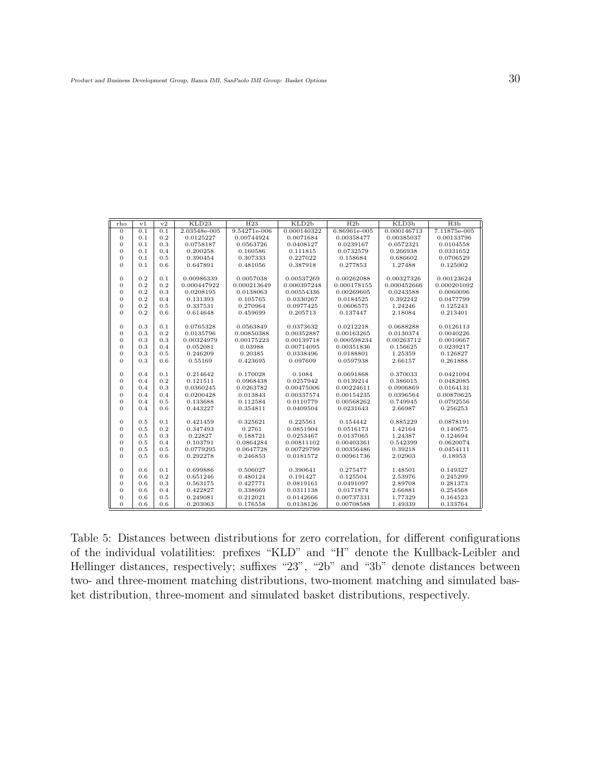| rho              | v1  | v <sub>2</sub> | KLD23        | H <sub>23</sub> | KLD2b       | H2b            | KLD <sub>3</sub> b | H3b          |
|------------------|-----|----------------|--------------|-----------------|-------------|----------------|--------------------|--------------|
| $\mathbf{0}$     | 0.1 | 0.1            | 2.03548e-005 | 9.54271e-006    | 0.000140322 | $6.86961e-005$ | 0.000146713        | 7.11875e-005 |
| $\mathbf{0}$     | 0.1 | 0.2            | 0.0125227    | 0.00744924      | 0.0071684   | 0.00358477     | 0.00385037         | 0.00133796   |
| $\mathbf{0}$     | 0.1 | 0.3            | 0.0758187    | 0.0563726       | 0.0408127   | 0.0239167      | 0.0572321          | 0.0104558    |
| $\overline{0}$   | 0.1 | 0.4            | 0.200258     | 0.160586        | 0.111815    | 0.0732579      | 0.266938           | 0.0331652    |
| $\mathbf{0}$     | 0.1 | 0.5            | 0.390454     | 0.307333        | 0.227022    | 0.158684       | 0.686602           | 0.0706529    |
| $\mathbf{0}$     | 0.1 | 0.6            | 0.647891     | 0.481056        | 0.387918    | 0.277853       | 1.27488            | 0.125002     |
|                  |     |                |              |                 |             |                |                    |              |
| $\mathbf{0}$     | 0.2 | 0.1            | 0.00986339   | 0.0057038       | 0.00537269  | 0.00262088     | 0.00327326         | 0.00123624   |
| $\mathbf{0}$     | 0.2 | 0.2            | 0.000447922  | 0.000213649     | 0.000397248 | 0.000178155    | 0.000452666        | 0.000201092  |
| $\mathbf{0}$     | 0.2 | 0.3            | 0.0208195    | 0.0138063       | 0.00554336  | 0.00269605     | 0.0243588          | 0.0060096    |
| $\overline{0}$   | 0.2 | 0.4            | 0.131393     | 0.105765        | 0.0330267   | 0.0184525      | 0.392242           | 0.0477799    |
| $\boldsymbol{0}$ | 0.2 | 0.5            | 0.337531     | 0.270964        | 0.0977425   | 0.0606575      | 1.24246            | 0.125243     |
| $\mathbf{0}$     | 0.2 | 0.6            | 0.614648     | 0.459699        | 0.205713    | 0.137447       | 2.18084            | 0.213401     |
|                  |     |                |              |                 |             |                |                    |              |
| $\mathbf{0}$     | 0.3 | 0.1            | 0.0765328    | 0.0563849       | 0.0373632   | 0.0212218      | 0.0688288          | 0.0126113    |
| $\mathbf{0}$     | 0.3 | 0.2            | 0.0135796    | 0.00850388      | 0.00352887  | 0.00163265     | 0.0130374          | 0.0040226    |
| $\mathbf{0}$     | 0.3 | 0.3            | 0.00324979   | 0.00175223      | 0.00139718  | 0.000598234    | 0.00263712         | 0.0010667    |
| $\overline{0}$   | 0.3 | 0.4            | 0.052081     | 0.03988         | 0.00714095  | 0.00351836     | 0.156625           | 0.0239217    |
| $\boldsymbol{0}$ | 0.3 | 0.5            | 0.246209     | 0.20385         | 0.0338496   | 0.0188801      | 1.25359            | 0.126827     |
| $\mathbf{0}$     | 0.3 | 0.6            | 0.55169      | 0.423695        | 0.097609    | 0.0597938      | 2.66157            | 0.261888     |
|                  |     |                |              |                 |             |                |                    |              |
| $\mathbf{0}$     | 0.4 | 0.1            | 0.214642     | 0.170028        | 0.1084      | 0.0691868      | 0.370033           | 0.0421094    |
| $\overline{0}$   | 0.4 | 0.2            | 0.121511     | 0.0968438       | 0.0257942   | 0.0139214      | 0.386015           | 0.0482085    |
| $\mathbf{0}$     | 0.4 | 0.3            | 0.0360245    | 0.0263782       | 0.00475006  | 0.00224611     | 0.0906869          | 0.0164131    |
| $\overline{0}$   | 0.4 | 0.4            | 0.0200428    | 0.013843        | 0.00337574  | 0.00154235     | 0.0396564          | 0.00870625   |
| $\mathbf{0}$     | 0.4 | 0.5            | 0.133688     | 0.112584        | 0.0110779   | 0.00568262     | 0.749945           | 0.0792556    |
| $\mathbf{0}$     | 0.4 | 0.6            | 0.443227     | 0.354811        | 0.0409504   | 0.0231643      | 2.66987            | 0.256253     |
|                  |     |                |              |                 |             |                |                    |              |
| $\mathbf{0}$     | 0.5 | 0.1            | 0.421459     | 0.325621        | 0.225561    | 0.154442       | 0.885229           | 0.0878191    |
| $\overline{0}$   | 0.5 | 0.2            | 0.347493     | 0.2761          | 0.0851904   | 0.0516173      | 1.42164            | 0.140675     |
| $\mathbf{0}$     | 0.5 | 0.3            | 0.22827      | 0.188721        | 0.0253467   | 0.0137065      | 1.24387            | 0.124694     |
| $\overline{0}$   | 0.5 | 0.4            | 0.103791     | 0.0864284       | 0.00811102  | 0.00403361     | 0.542399           | 0.0620074    |
| $\mathbf{0}$     | 0.5 | 0.5            | 0.0779295    | 0.0647728       | 0.00729799  | 0.00356486     | 0.39218            | 0.0454111    |
| $\mathbf{0}$     | 0.5 | 0.6            | 0.292278     | 0.246853        | 0.0181572   | 0.00961736     | 2.02903            | 0.18953      |
|                  |     |                |              |                 |             |                |                    |              |
| $\boldsymbol{0}$ | 0.6 | 0.1            | 0.699886     | 0.506027        | 0.390641    | 0.275477       | 1.48501            | 0.149327     |
| $\mathbf{0}$     | 0.6 | 0.2            | 0.651246     | 0.480124        | 0.191427    | 0.125504       | 2.53976            | 0.245299     |
| $\mathbf{0}$     | 0.6 | 0.3            | 0.563175     | 0.427771        | 0.0819161   | 0.0491097      | 2.89708            | 0.281373     |
| $\mathbf{0}$     | 0.6 | 0.4            | 0.422827     | 0.338669        | 0.0311138   | 0.0171874      | 2.66881            | 0.254568     |
| $\mathbf{0}$     | 0.6 | 0.5            | 0.249081     | 0.212021        | 0.0142666   | 0.00737331     | 1.77329            | 0.164523     |
| $\overline{0}$   | 0.6 | 0.6            | 0.203063     | 0.176558        | 0.0138126   | 0.00708588     | 1.49339            | 0.133764     |

Table 5: Distances between distributions for zero correlation, for different configurations of the individual volatilities: prefixes "KLD" and "H" denote the Kullback-Leibler and Hellinger distances, respectively; suffixes "23", "2b" and "3b" denote distances between two- and three-moment matching distributions, two-moment matching and simulated basket distribution, three-moment and simulated basket distributions, respectively.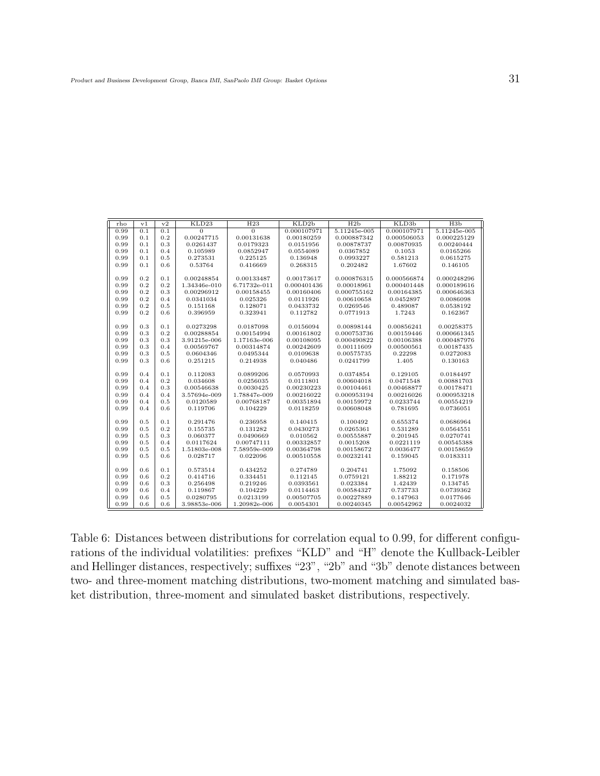| rho  | v <sub>1</sub> | v2  | KLD23          | H <sub>23</sub> | KLD <sub>2</sub> b | H2 <sub>b</sub> | KLD <sub>3</sub> b | H3b          |
|------|----------------|-----|----------------|-----------------|--------------------|-----------------|--------------------|--------------|
| 0.99 | 0.1            | 0.1 | $\overline{0}$ | $\overline{0}$  | 0.000107971        | $5.11245e-005$  | 0.000107971        | 5.11245e-005 |
| 0.99 | 0.1            | 0.2 | 0.00247715     | 0.00131638      | 0.00180259         | 0.000887342     | 0.000506053        | 0.000225129  |
| 0.99 | 0.1            | 0.3 | 0.0261437      | 0.0179323       | 0.0151956          | 0.00878737      | 0.00870935         | 0.00240444   |
| 0.99 | 0.1            | 0.4 | 0.105989       | 0.0852947       | 0.0554089          | 0.0367852       | 0.1053             | 0.0165266    |
| 0.99 | 0.1            | 0.5 | 0.273531       | 0.225125        | 0.136948           | 0.0993227       | 0.581213           | 0.0615275    |
| 0.99 | 0.1            | 0.6 | 0.53764        | 0.416669        | 0.268315           | 0.202482        | 1.67602            | 0.146105     |
|      |                |     |                |                 |                    |                 |                    |              |
| 0.99 | 0.2            | 0.1 | 0.00248854     | 0.00133487      | 0.00173617         | 0.000876315     | 0.000566874        | 0.000248296  |
| 0.99 | 0.2            | 0.2 | 1.34346e-010   | 6.71732e-011    | 0.000401436        | 0.00018961      | 0.000401448        | 0.000189616  |
| 0.99 | 0.2            | 0.3 | 0.00296912     | 0.00158455      | 0.00160406         | 0.000755162     | 0.00164385         | 0.000646363  |
| 0.99 | 0.2            | 0.4 | 0.0341034      | 0.025326        | 0.0111926          | 0.00610658      | 0.0452897          | 0.0086098    |
| 0.99 | 0.2            | 0.5 | 0.151168       | 0.128071        | 0.0433732          | 0.0269546       | 0.489087           | 0.0538192    |
| 0.99 | 0.2            | 0.6 | 0.396959       | 0.323941        | 0.112782           | 0.0771913       | 1.7243             | 0.162367     |
|      |                |     |                |                 |                    |                 |                    |              |
| 0.99 | 0.3            | 0.1 | 0.0273298      | 0.0187098       | 0.0156094          | 0.00898144      | 0.00856241         | 0.00258375   |
| 0.99 | 0.3            | 0.2 | 0.00288854     | 0.00154994      | 0.00161802         | 0.000753736     | 0.00159446         | 0.000661345  |
| 0.99 | 0.3            | 0.3 | 3.91215e-006   | 1.17163e-006    | 0.00108095         | 0.000490822     | 0.00106388         | 0.000487976  |
| 0.99 | 0.3            | 0.4 | 0.00569767     | 0.00314874      | 0.00242609         | 0.00111609      | 0.00500561         | 0.00187435   |
| 0.99 | 0.3            | 0.5 | 0.0604346      | 0.0495344       | 0.0109638          | 0.00575735      | 0.22298            | 0.0272083    |
| 0.99 | 0.3            | 0.6 | 0.251215       | 0.214938        | 0.040486           | 0.0241799       | 1.405              | 0.130163     |
|      |                |     |                |                 |                    |                 |                    |              |
| 0.99 | 0.4            | 0.1 | 0.112083       | 0.0899206       | 0.0570993          | 0.0374854       | 0.129105           | 0.0184497    |
| 0.99 | 0.4            | 0.2 | 0.034608       | 0.0256035       | 0.0111801          | 0.00604018      | 0.0471548          | 0.00881703   |
| 0.99 | 0.4            | 0.3 | 0.00546638     | 0.0030425       | 0.00230223         | 0.00104461      | 0.00468877         | 0.00178471   |
| 0.99 | 0.4            | 0.4 | 3.57694e-009   | 1.78847e-009    | 0.00216022         | 0.000953194     | 0.00216026         | 0.000953218  |
| 0.99 | 0.4            | 0.5 | 0.0120589      | 0.00768187      | 0.00351894         | 0.00159972      | 0.0233744          | 0.00554219   |
| 0.99 | 0.4            | 0.6 | 0.119706       | 0.104229        | 0.0118259          | 0.00608048      | 0.781695           | 0.0736051    |
|      |                |     |                |                 |                    |                 |                    |              |
| 0.99 | 0.5            | 0.1 | 0.291476       | 0.236958        | 0.140415           | 0.100492        | 0.655374           | 0.0686964    |
| 0.99 | 0.5            | 0.2 | 0.155735       | 0.131282        | 0.0430273          | 0.0265361       | 0.531289           | 0.0564551    |
| 0.99 | 0.5            | 0.3 | 0.060377       | 0.0490669       | 0.010562           | 0.00555887      | 0.201945           | 0.0270741    |
| 0.99 | 0.5            | 0.4 | 0.0117624      | 0.00747111      | 0.00332857         | 0.0015208       | 0.0221119          | 0.00545388   |
| 0.99 | 0.5            | 0.5 | 1.51803e-008   | 7.58959e-009    | 0.00364798         | 0.00158672      | 0.0036477          | 0.00158659   |
| 0.99 | 0.5            | 0.6 | 0.028717       | 0.022096        | 0.00510558         | 0.00232141      | 0.159045           | 0.0183311    |
|      |                |     |                |                 |                    |                 |                    |              |
| 0.99 | 0.6            | 0.1 | 0.573514       | 0.434252        | 0.274789           | 0.204741        | 1.75092            | 0.158506     |
| 0.99 | 0.6            | 0.2 | 0.414716       | 0.334451        | 0.112145           | 0.0759121       | 1.88212            | 0.171978     |
| 0.99 | 0.6            | 0.3 | 0.256498       | 0.219246        | 0.0393561          | 0.023384        | 1.42439            | 0.134745     |
| 0.99 | 0.6            | 0.4 | 0.119867       | 0.104229        | 0.0114463          | 0.00584327      | 0.737733           | 0.0739362    |
| 0.99 | 0.6            | 0.5 | 0.0280795      | 0.0213199       | 0.00507705         | 0.00227889      | 0.147963           | 0.0177646    |
| 0.99 | 0.6            | 0.6 | 3.98853e-006   | 1.20982e-006    | 0.0054301          | 0.00240345      | 0.00542962         | 0.0024032    |

Table 6: Distances between distributions for correlation equal to 0.99, for different configurations of the individual volatilities: prefixes "KLD" and "H" denote the Kullback-Leibler and Hellinger distances, respectively; suffixes "23", "2b" and "3b" denote distances between two- and three-moment matching distributions, two-moment matching and simulated basket distribution, three-moment and simulated basket distributions, respectively.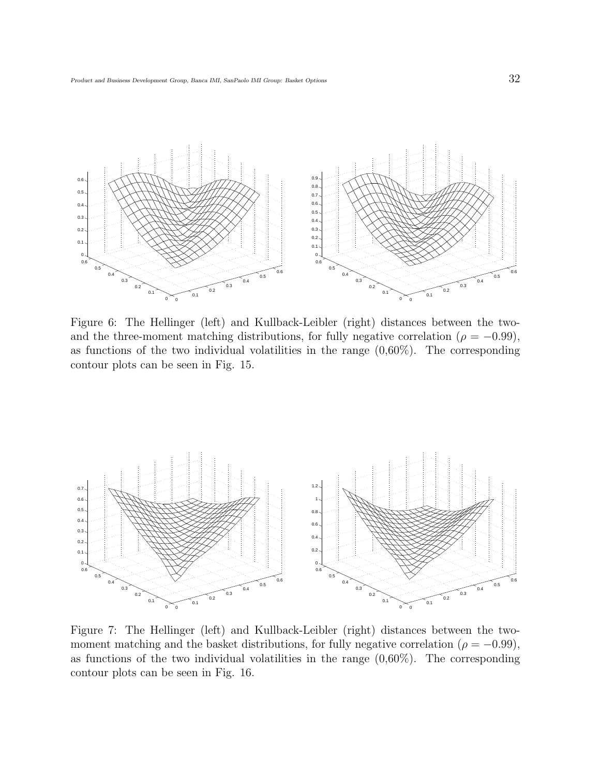

Figure 6: The Hellinger (left) and Kullback-Leibler (right) distances between the twoand the three-moment matching distributions, for fully negative correlation ( $\rho = -0.99$ ), as functions of the two individual volatilities in the range  $(0.60\%)$ . The corresponding contour plots can be seen in Fig. 15.



Figure 7: The Hellinger (left) and Kullback-Leibler (right) distances between the twomoment matching and the basket distributions, for fully negative correlation ( $\rho = -0.99$ ), as functions of the two individual volatilities in the range  $(0.60\%)$ . The corresponding contour plots can be seen in Fig. 16.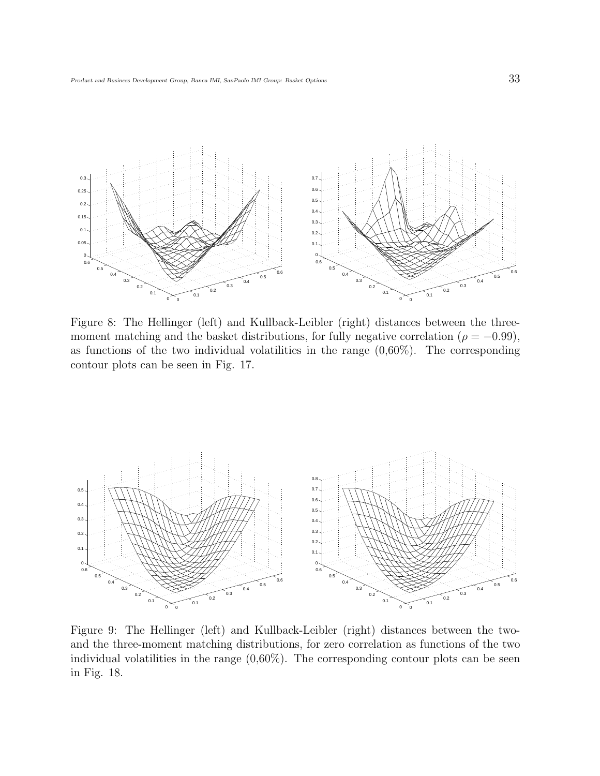

Figure 8: The Hellinger (left) and Kullback-Leibler (right) distances between the threemoment matching and the basket distributions, for fully negative correlation ( $\rho = -0.99$ ), as functions of the two individual volatilities in the range  $(0.60\%)$ . The corresponding contour plots can be seen in Fig. 17.



Figure 9: The Hellinger (left) and Kullback-Leibler (right) distances between the twoand the three-moment matching distributions, for zero correlation as functions of the two individual volatilities in the range  $(0.60\%)$ . The corresponding contour plots can be seen in Fig. 18.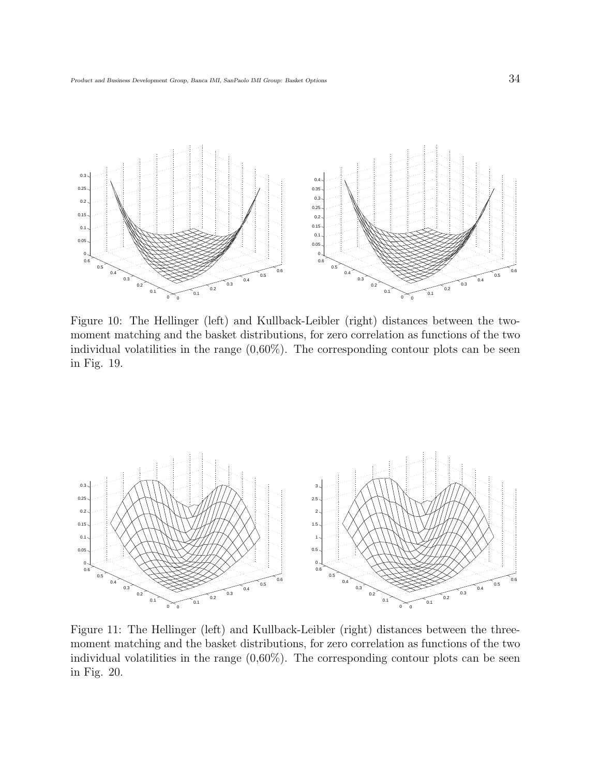

Figure 10: The Hellinger (left) and Kullback-Leibler (right) distances between the twomoment matching and the basket distributions, for zero correlation as functions of the two individual volatilities in the range  $(0.60\%)$ . The corresponding contour plots can be seen in Fig. 19.



Figure 11: The Hellinger (left) and Kullback-Leibler (right) distances between the threemoment matching and the basket distributions, for zero correlation as functions of the two individual volatilities in the range  $(0.60\%)$ . The corresponding contour plots can be seen in Fig. 20.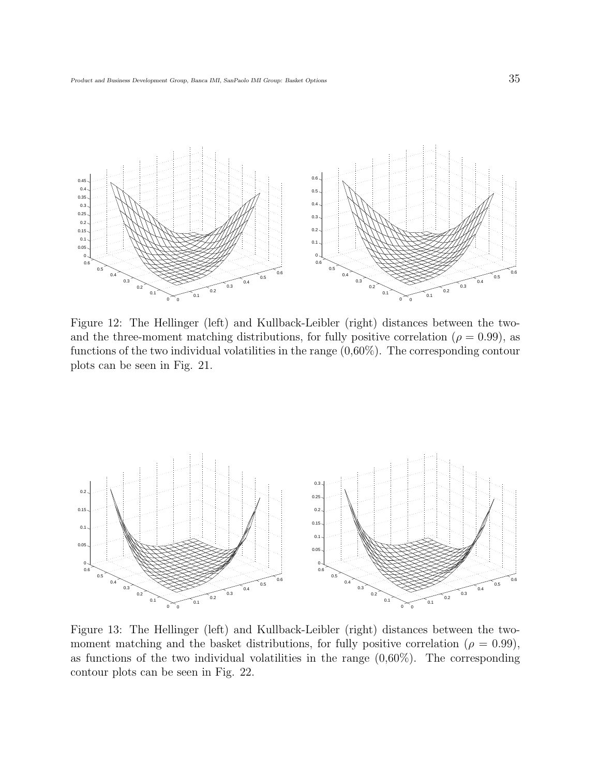

Figure 12: The Hellinger (left) and Kullback-Leibler (right) distances between the twoand the three-moment matching distributions, for fully positive correlation ( $\rho = 0.99$ ), as functions of the two individual volatilities in the range (0,60%). The corresponding contour plots can be seen in Fig. 21.



Figure 13: The Hellinger (left) and Kullback-Leibler (right) distances between the twomoment matching and the basket distributions, for fully positive correlation ( $\rho = 0.99$ ), as functions of the two individual volatilities in the range  $(0.60\%)$ . The corresponding contour plots can be seen in Fig. 22.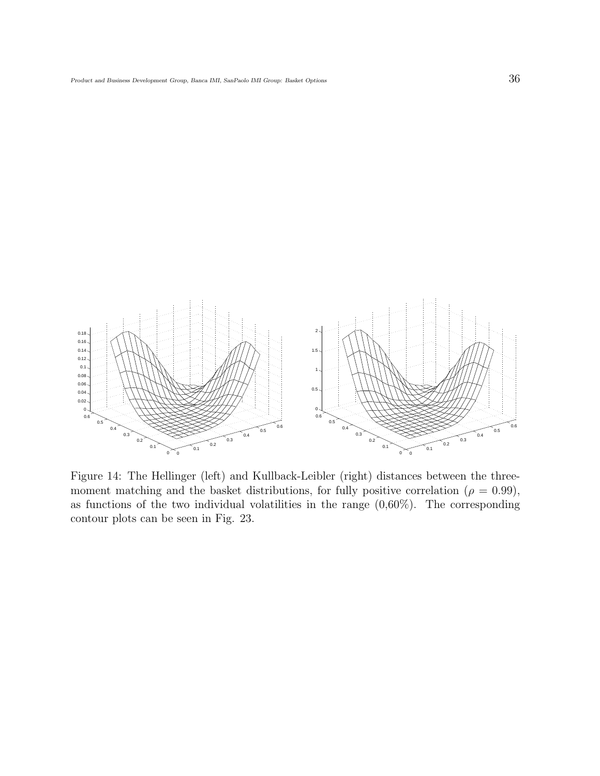

Figure 14: The Hellinger (left) and Kullback-Leibler (right) distances between the threemoment matching and the basket distributions, for fully positive correlation ( $\rho = 0.99$ ), as functions of the two individual volatilities in the range  $(0.60\%)$ . The corresponding contour plots can be seen in Fig. 23.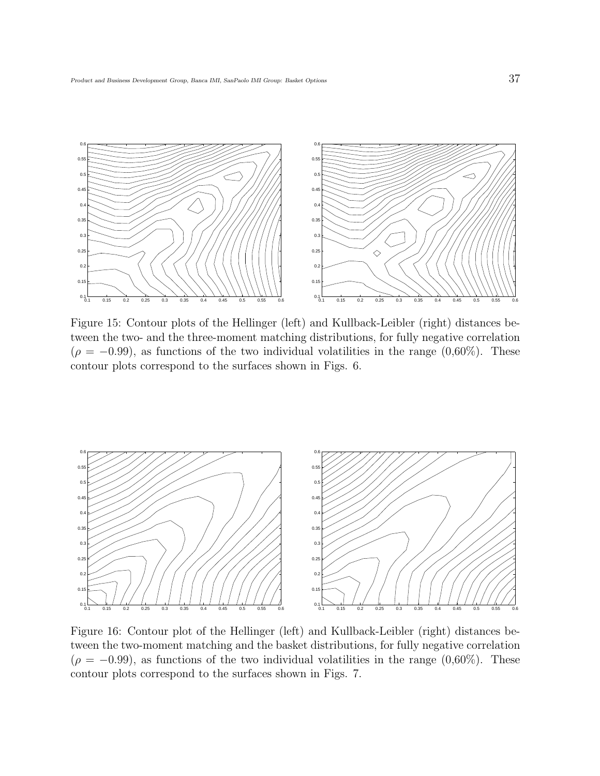

Figure 15: Contour plots of the Hellinger (left) and Kullback-Leibler (right) distances between the two- and the three-moment matching distributions, for fully negative correlation  $(\rho = -0.99)$ , as functions of the two individual volatilities in the range  $(0.60\%)$ . These contour plots correspond to the surfaces shown in Figs. 6.



Figure 16: Contour plot of the Hellinger (left) and Kullback-Leibler (right) distances between the two-moment matching and the basket distributions, for fully negative correlation  $(\rho = -0.99)$ , as functions of the two individual volatilities in the range  $(0.60\%)$ . These contour plots correspond to the surfaces shown in Figs. 7.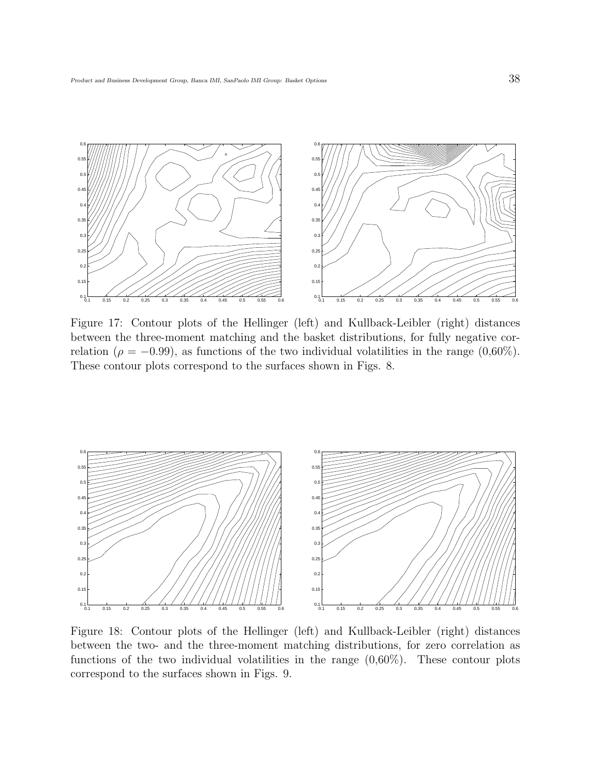

Figure 17: Contour plots of the Hellinger (left) and Kullback-Leibler (right) distances between the three-moment matching and the basket distributions, for fully negative correlation ( $\rho = -0.99$ ), as functions of the two individual volatilities in the range (0,60%). These contour plots correspond to the surfaces shown in Figs. 8.



Figure 18: Contour plots of the Hellinger (left) and Kullback-Leibler (right) distances between the two- and the three-moment matching distributions, for zero correlation as functions of the two individual volatilities in the range  $(0.60\%)$ . These contour plots correspond to the surfaces shown in Figs. 9.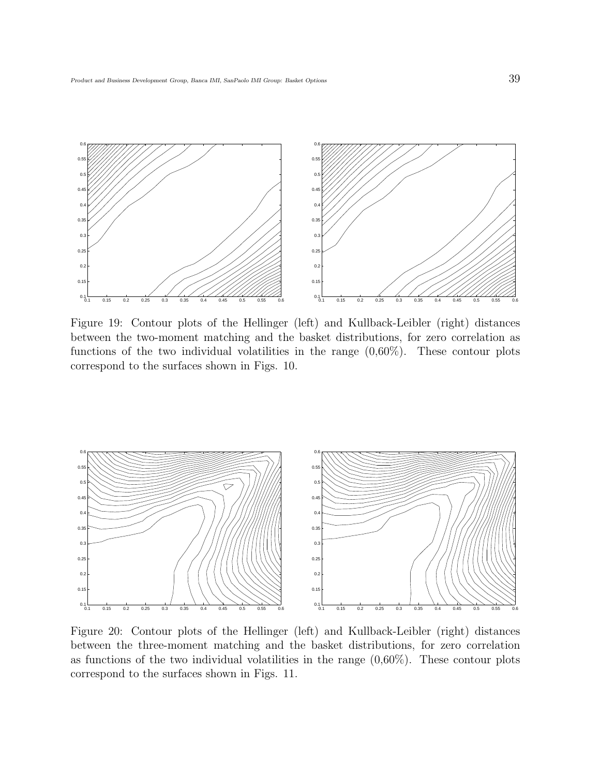

Figure 19: Contour plots of the Hellinger (left) and Kullback-Leibler (right) distances between the two-moment matching and the basket distributions, for zero correlation as functions of the two individual volatilities in the range  $(0.60\%)$ . These contour plots correspond to the surfaces shown in Figs. 10.



Figure 20: Contour plots of the Hellinger (left) and Kullback-Leibler (right) distances between the three-moment matching and the basket distributions, for zero correlation as functions of the two individual volatilities in the range  $(0.60\%)$ . These contour plots correspond to the surfaces shown in Figs. 11.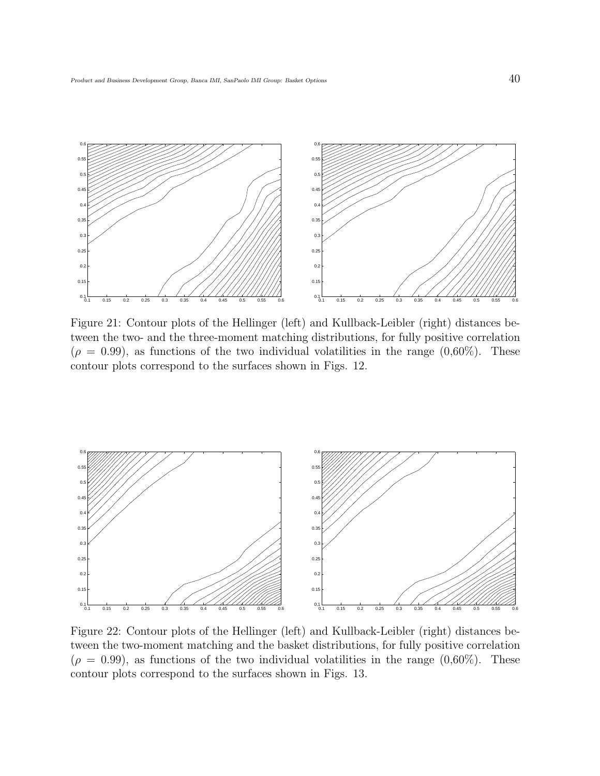

Figure 21: Contour plots of the Hellinger (left) and Kullback-Leibler (right) distances between the two- and the three-moment matching distributions, for fully positive correlation  $(\rho = 0.99)$ , as functions of the two individual volatilities in the range  $(0.60\%)$ . These contour plots correspond to the surfaces shown in Figs. 12.



Figure 22: Contour plots of the Hellinger (left) and Kullback-Leibler (right) distances between the two-moment matching and the basket distributions, for fully positive correlation  $(\rho = 0.99)$ , as functions of the two individual volatilities in the range  $(0.60\%)$ . These contour plots correspond to the surfaces shown in Figs. 13.